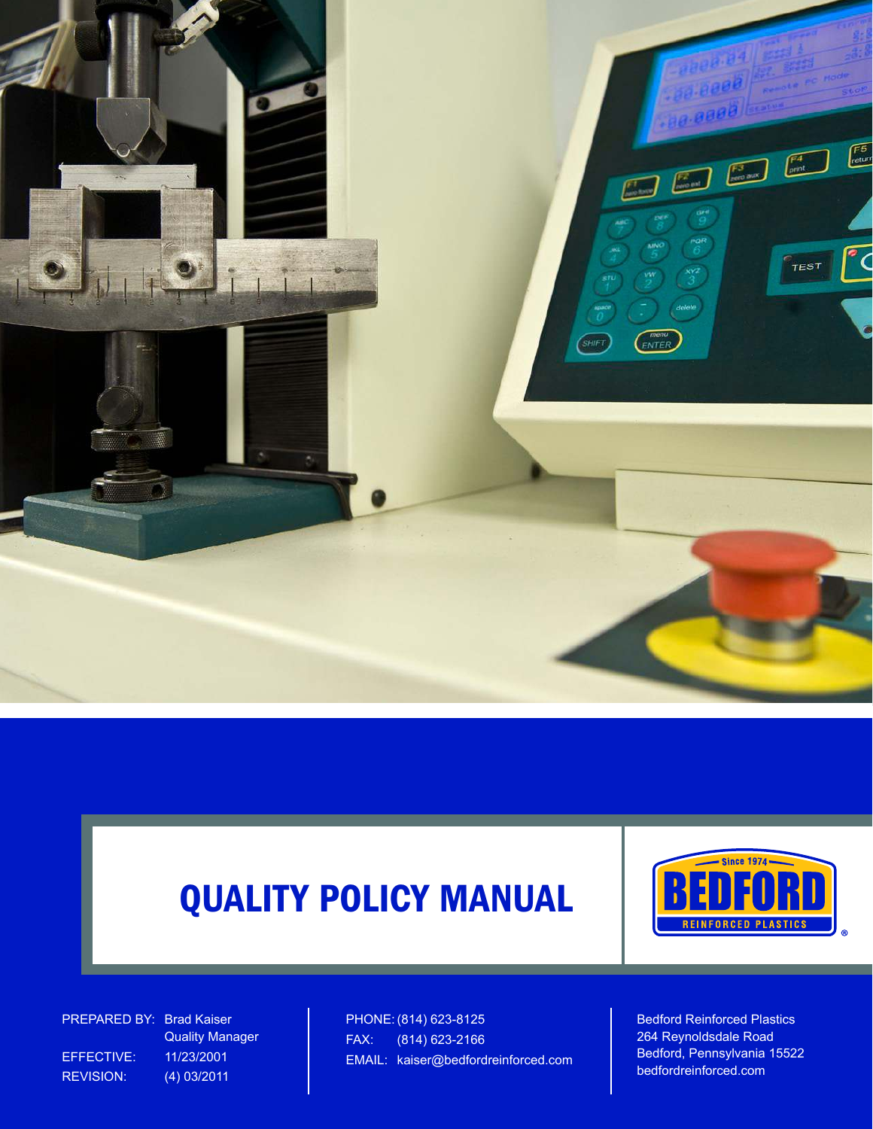



PREPARED BY: Brad Kaiser EFFECTIVE: 11/23/2001

 Quality Manager REVISION: (4) 03/2011

PHONE: (814) 623-8125 FAX: (814) 623-2166 EMAIL: kaiser@bedfordreinforced.com Bedford Reinforced Plastics 264 Reynoldsdale Road Bedford, Pennsylvania 15522 bedfordreinforced.com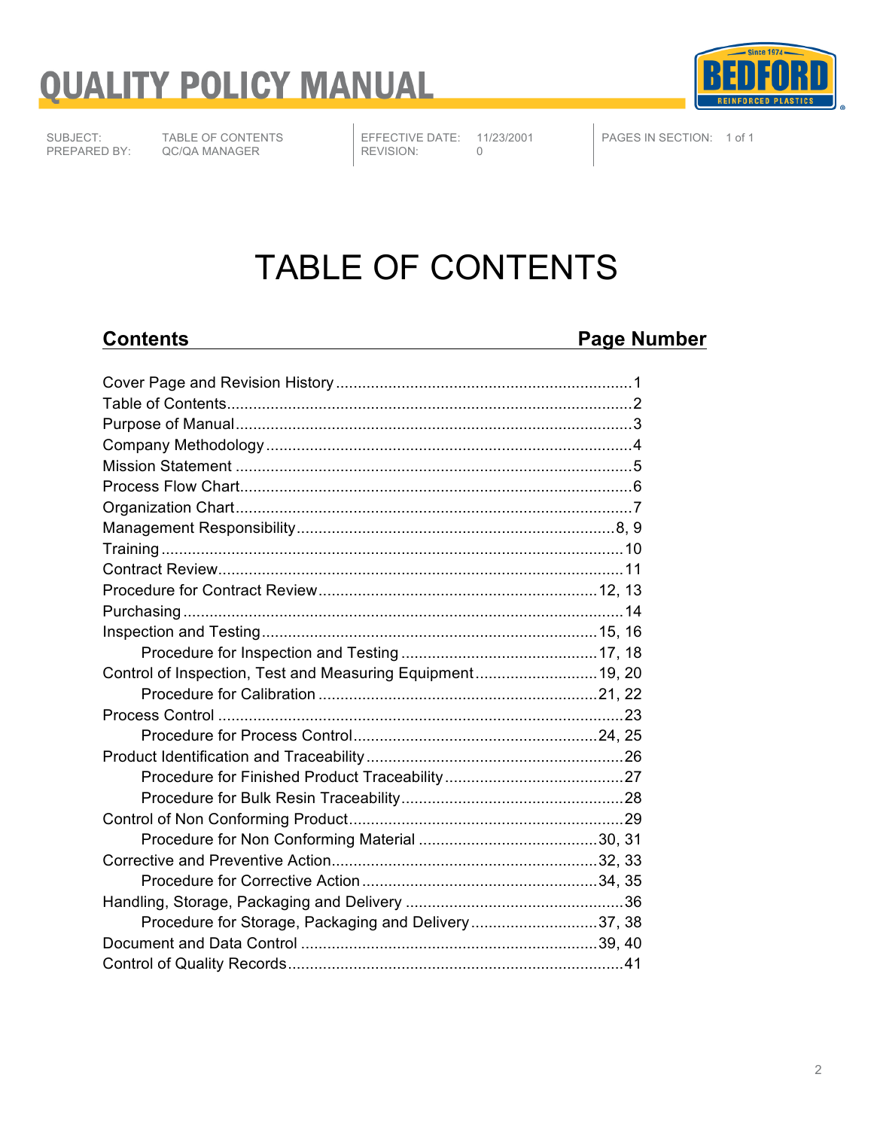

SUBJECT: TABLE OF CONTENTS<br>PREPARED BY: QC/QA MANAGER QC/QA MANAGER

EFFECTIVE DATE: 11/23/2001<br>REVISION: 0 REVISION:

PAGES IN SECTION: 1 of 1

### TABLE OF CONTENTS

### **Contents Page Number**

| Control of Inspection, Test and Measuring Equipment19, 20 |  |
|-----------------------------------------------------------|--|
|                                                           |  |
|                                                           |  |
|                                                           |  |
|                                                           |  |
|                                                           |  |
|                                                           |  |
|                                                           |  |
|                                                           |  |
|                                                           |  |
|                                                           |  |
|                                                           |  |
| Procedure for Storage, Packaging and Delivery37, 38       |  |
|                                                           |  |
|                                                           |  |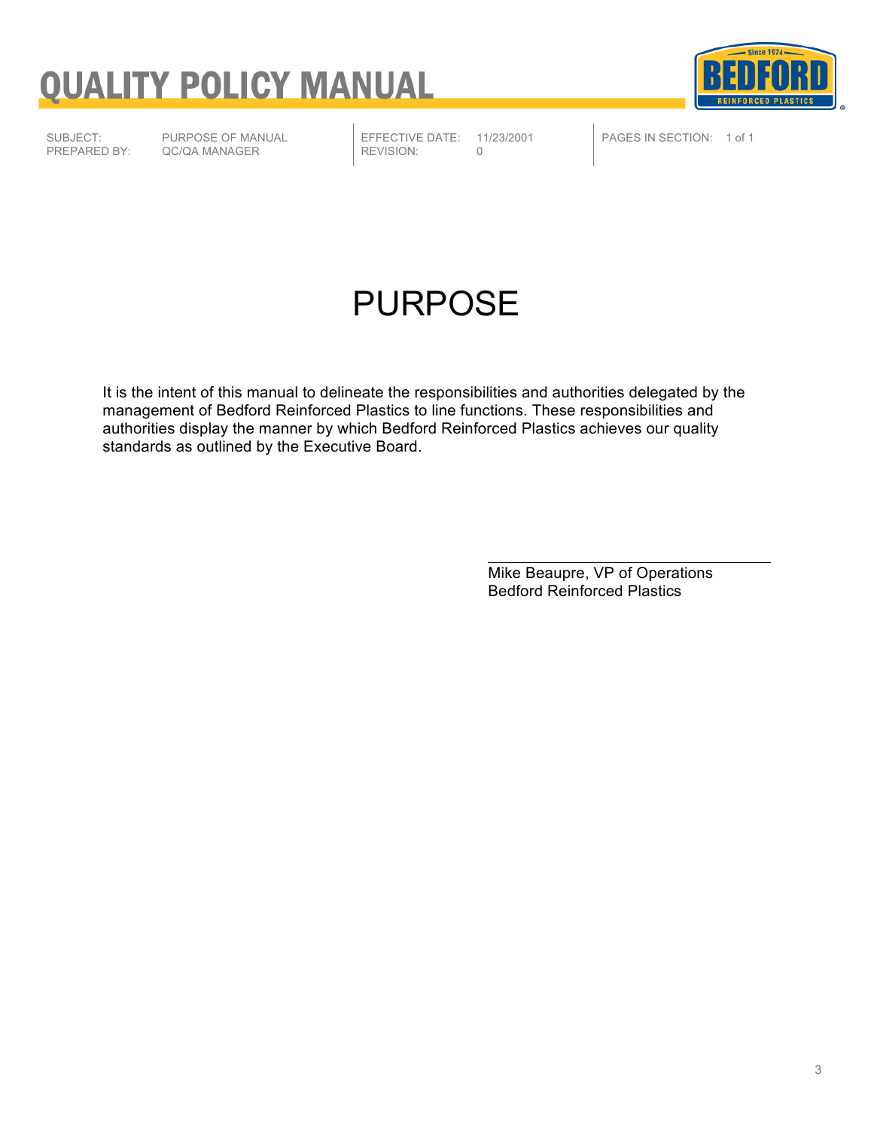

SUBJECT: PURPOSE OF MANUAL<br>PREPARED BY: QC/QA MANAGER QC/QA MANAGER

EFFECTIVE DATE: 11/23/2001<br>REVISION: 0 REVISION:

PAGES IN SECTION: 1 of 1

### PURPOSE

It is the intent of this manual to delineate the responsibilities and authorities delegated by the management of Bedford Reinforced Plastics to line functions. These responsibilities and authorities display the manner by which Bedford Reinforced Plastics achieves our quality standards as outlined by the Executive Board.

> Mike Beaupre, VP of Operations Bedford Reinforced Plastics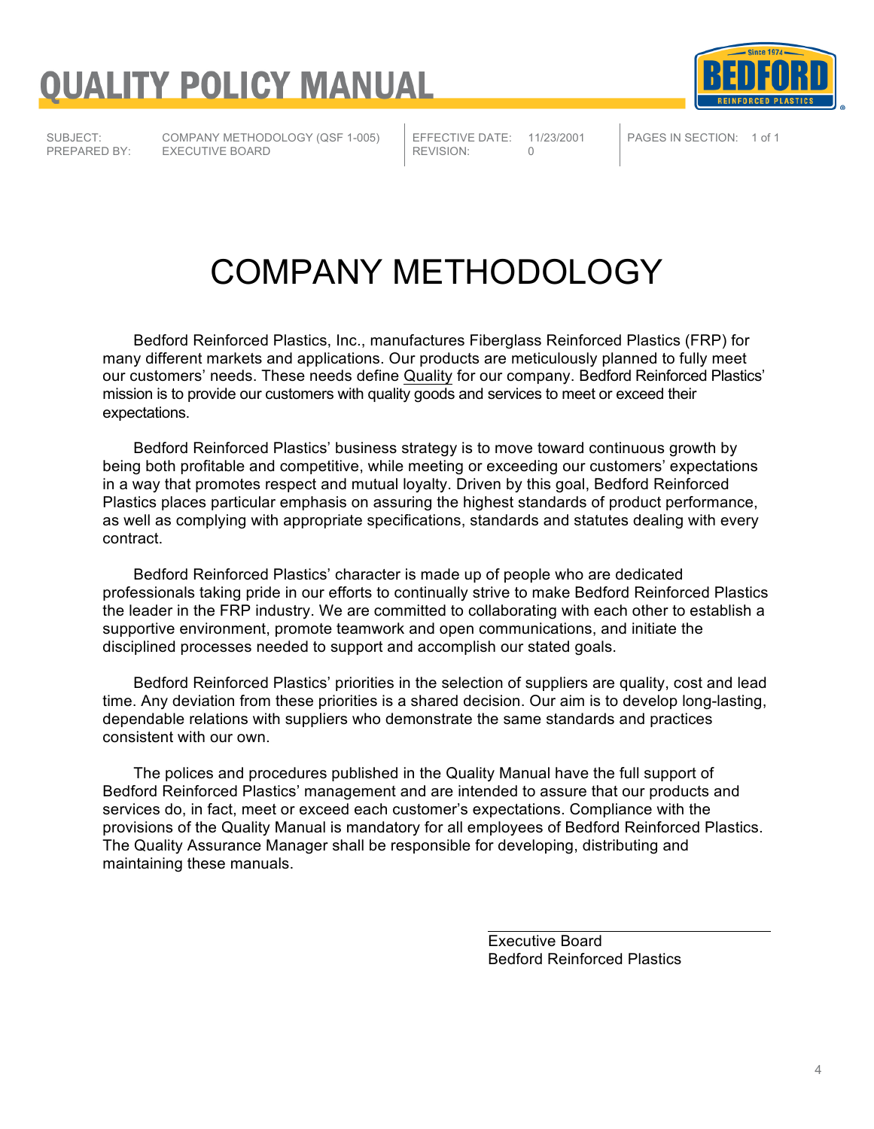

SUBJECT: COMPANY METHODOLOGY (QSF 1-005)<br>PREPARED BY: EXECUTIVE BOARD **EXECUTIVE BOARD** 

EFFECTIVE DATE: 11/23/2001<br>REVISION: 0 REVISION:

PAGES IN SECTION: 1 of 1

### COMPANY METHODOLOGY

Bedford Reinforced Plastics, Inc., manufactures Fiberglass Reinforced Plastics (FRP) for many different markets and applications. Our products are meticulously planned to fully meet our customers' needs. These needs define Quality for our company. Bedford Reinforced Plastics' mission is to provide our customers with quality goods and services to meet or exceed their expectations.

Bedford Reinforced Plastics' business strategy is to move toward continuous growth by being both profitable and competitive, while meeting or exceeding our customers' expectations in a way that promotes respect and mutual loyalty. Driven by this goal, Bedford Reinforced Plastics places particular emphasis on assuring the highest standards of product performance, as well as complying with appropriate specifications, standards and statutes dealing with every contract.

Bedford Reinforced Plastics' character is made up of people who are dedicated professionals taking pride in our efforts to continually strive to make Bedford Reinforced Plastics the leader in the FRP industry. We are committed to collaborating with each other to establish a supportive environment, promote teamwork and open communications, and initiate the disciplined processes needed to support and accomplish our stated goals.

Bedford Reinforced Plastics' priorities in the selection of suppliers are quality, cost and lead time. Any deviation from these priorities is a shared decision. Our aim is to develop long-lasting, dependable relations with suppliers who demonstrate the same standards and practices consistent with our own.

The polices and procedures published in the Quality Manual have the full support of Bedford Reinforced Plastics' management and are intended to assure that our products and services do, in fact, meet or exceed each customer's expectations. Compliance with the provisions of the Quality Manual is mandatory for all employees of Bedford Reinforced Plastics. The Quality Assurance Manager shall be responsible for developing, distributing and maintaining these manuals.

> Executive Board Bedford Reinforced Plastics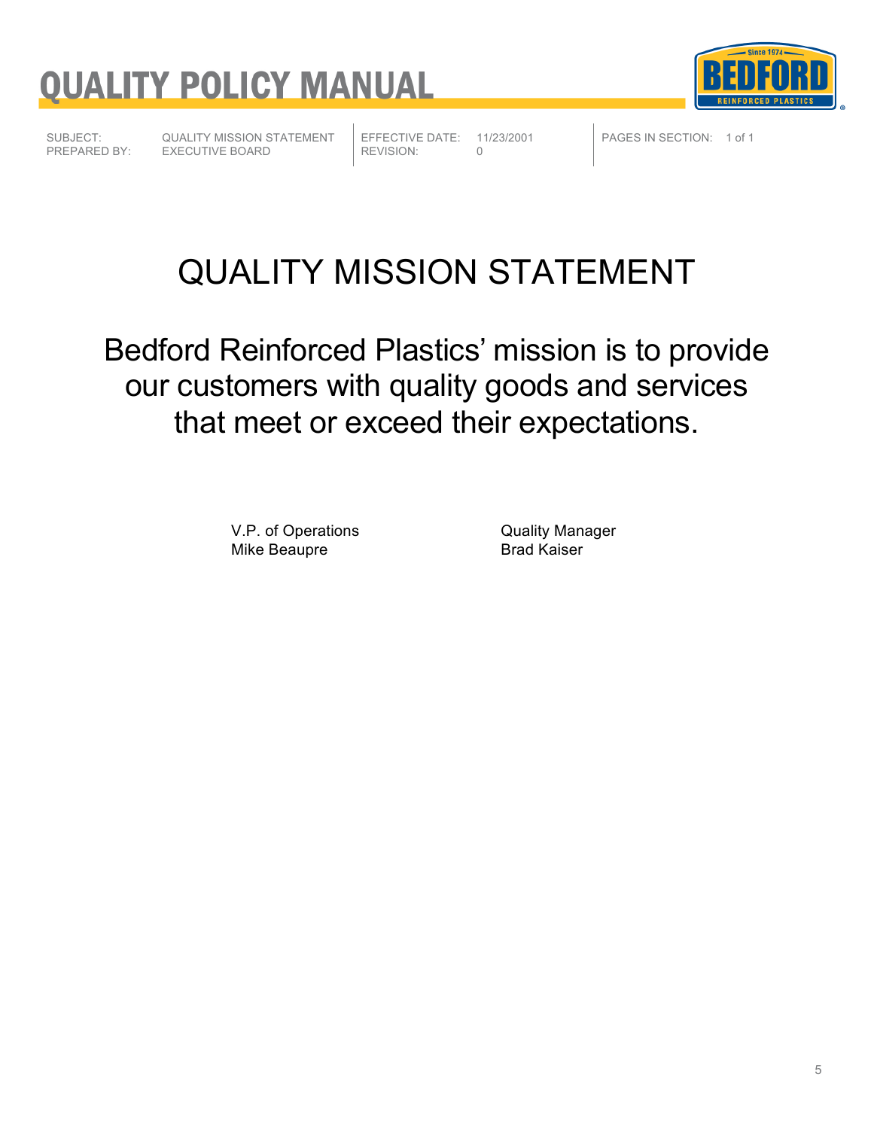



SUBJECT: QUALITY MISSION STATEMENT<br>PREPARED BY: EXECUTIVE BOARD EXECUTIVE BOARD

REVISION:

EFFECTIVE DATE: 11/23/2001<br>REVISION: 0

PAGES IN SECTION: 1 of 1

### QUALITY MISSION STATEMENT

Bedford Reinforced Plastics' mission is to provide our customers with quality goods and services that meet or exceed their expectations.

> V.P. of Operations<br>
> Mike Beaupre<br>
> Mike Beaupre Mike Beaupre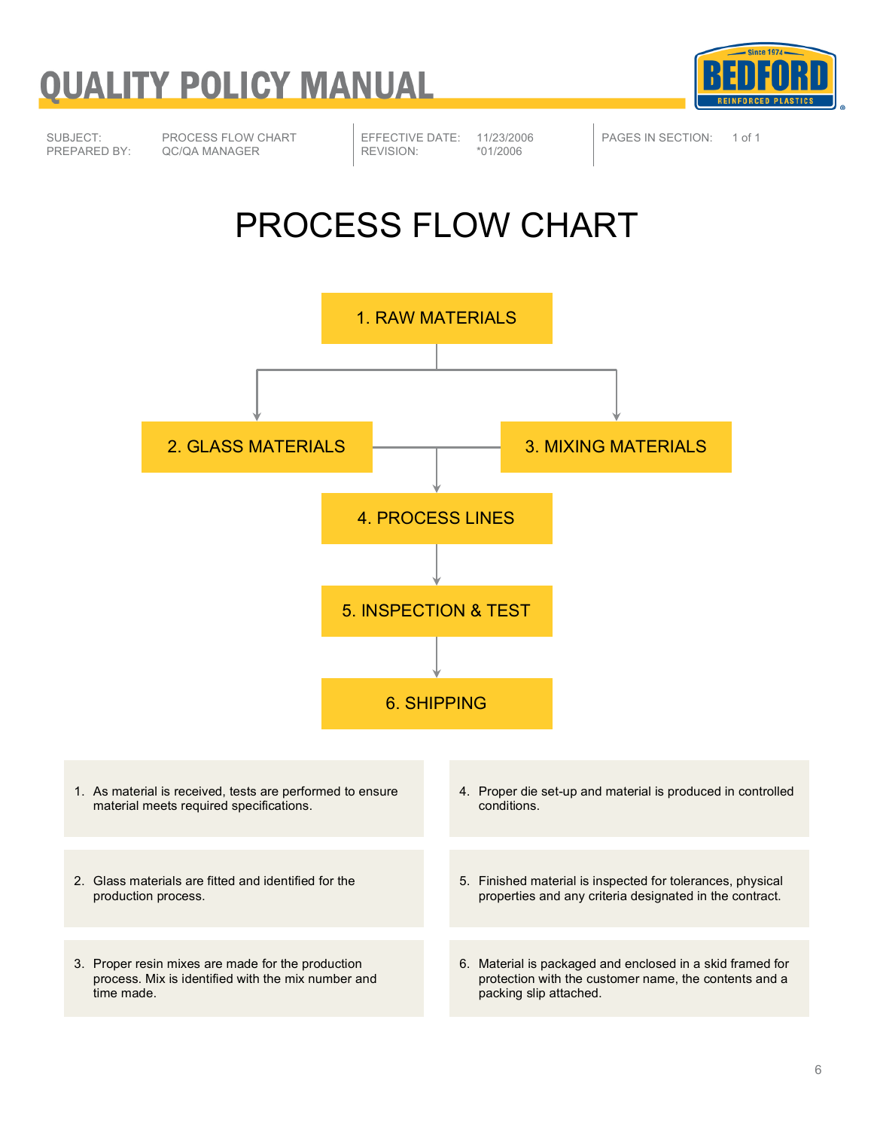

SUBJECT: PROCESS FLOW CHART<br>PREPARED BY: QC/QA MANAGER QC/QA MANAGER

REVISION:

EFFECTIVE DATE: 11/23/2006<br>REVISION: \*01/2006

PAGES IN SECTION: 1 of 1

### PROCESS FLOW CHART

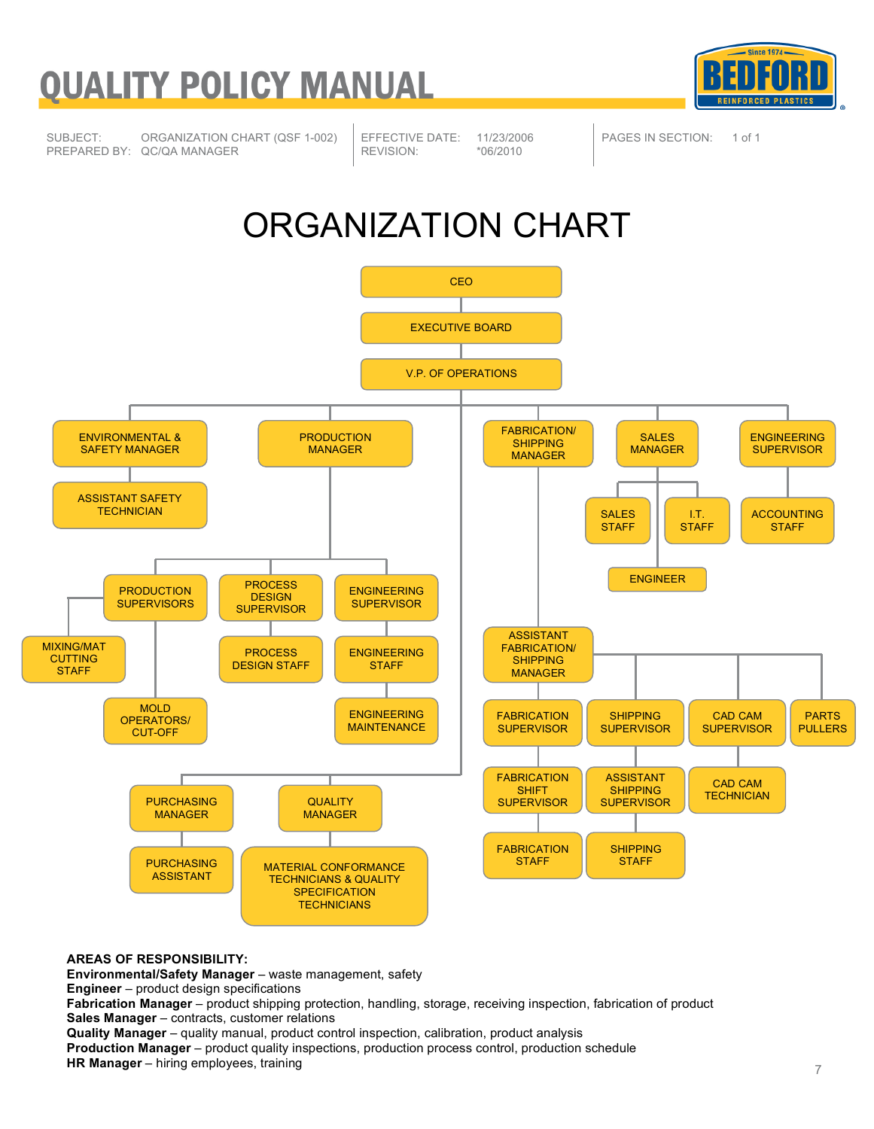

SUBJECT: ORGANIZATION CHART (QSF 1-002) PREPARED BY: QC/QA MANAGER

EFFECTIVE DATE: 11/23/2006<br>REVISION: \*06/2010 REVISION:

PAGES IN SECTION: 1 of 1

### ORGANIZATION CHART



**AREAS OF RESPONSIBILITY:**

**Environmental/Safety Manager** – waste management, safety

**Engineer** – product design specifications

**Fabrication Manager** – product shipping protection, handling, storage, receiving inspection, fabrication of product **Sales Manager** – contracts, customer relations

**Quality Manager** – quality manual, product control inspection, calibration, product analysis

**Production Manager** – product quality inspections, production process control, production schedule **HR Manager** – hiring employees, training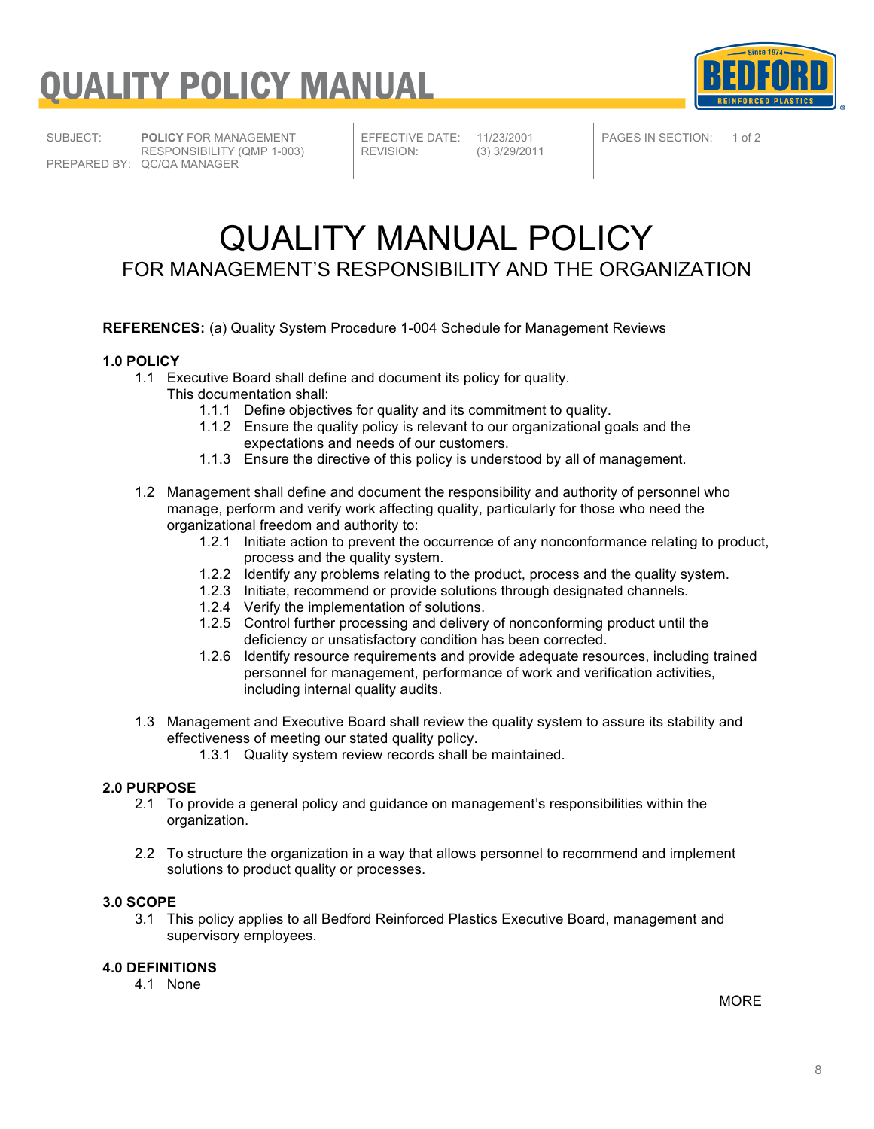

SUBJECT: **POLICY** FOR MANAGEMENT RESPONSIBILITY (QMP 1-003) PREPARED BY: QC/QA MANAGER

EFFECTIVE DATE: 11/23/2001<br>REVISION: (3) 3/29/201

REVISION: (3) 3/29/2011

PAGES IN SECTION: 1 of 2

### QUALITY MANUAL POLICY FOR MANAGEMENT'S RESPONSIBILITY AND THE ORGANIZATION

**REFERENCES:** (a) Quality System Procedure 1-004 Schedule for Management Reviews

#### **1.0 POLICY**

- 1.1 Executive Board shall define and document its policy for quality.
	- This documentation shall:
		- 1.1.1 Define objectives for quality and its commitment to quality.
		- 1.1.2 Ensure the quality policy is relevant to our organizational goals and the expectations and needs of our customers.
		- 1.1.3 Ensure the directive of this policy is understood by all of management.
- 1.2 Management shall define and document the responsibility and authority of personnel who manage, perform and verify work affecting quality, particularly for those who need the organizational freedom and authority to:
	- 1.2.1 Initiate action to prevent the occurrence of any nonconformance relating to product, process and the quality system.
	- 1.2.2 Identify any problems relating to the product, process and the quality system.
	- 1.2.3 Initiate, recommend or provide solutions through designated channels.
	- 1.2.4 Verify the implementation of solutions.
	- 1.2.5 Control further processing and delivery of nonconforming product until the deficiency or unsatisfactory condition has been corrected.
	- 1.2.6 Identify resource requirements and provide adequate resources, including trained personnel for management, performance of work and verification activities, including internal quality audits.
- 1.3 Management and Executive Board shall review the quality system to assure its stability and effectiveness of meeting our stated quality policy.
	- 1.3.1 Quality system review records shall be maintained.

#### **2.0 PURPOSE**

- 2.1 To provide a general policy and guidance on management's responsibilities within the organization.
- 2.2 To structure the organization in a way that allows personnel to recommend and implement solutions to product quality or processes.

#### **3.0 SCOPE**

3.1 This policy applies to all Bedford Reinforced Plastics Executive Board, management and supervisory employees.

#### **4.0 DEFINITIONS**

4.1 None

MORE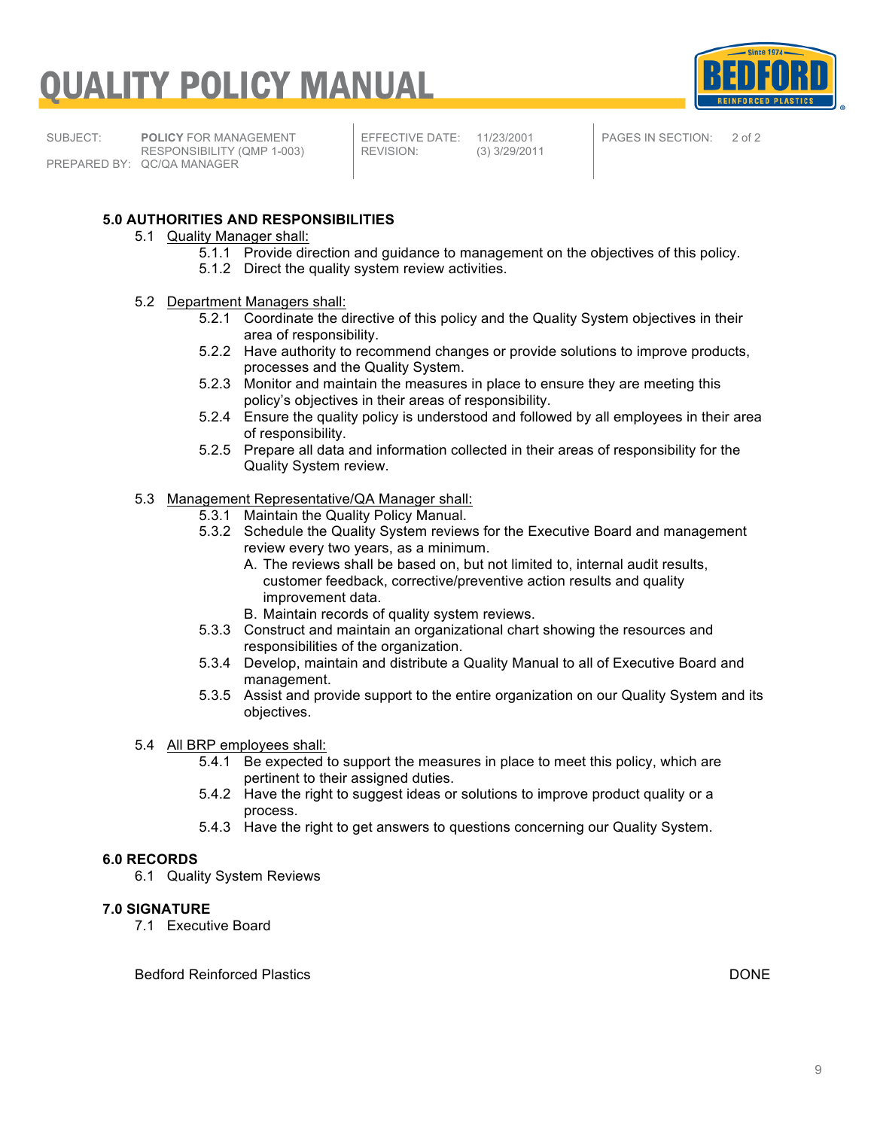

SUBJECT: **POLICY** FOR MANAGEMENT RESPONSIBILITY (QMP 1-003) PREPARED BY: QC/QA MANAGER

EFFECTIVE DATE: 11/23/2001<br>REVISION: (3) 3/29/201

REVISION: (3) 3/29/2011

PAGES IN SECTION: 2 of 2

#### **5.0 AUTHORITIES AND RESPONSIBILITIES**

- 5.1 Quality Manager shall:
	- 5.1.1 Provide direction and guidance to management on the objectives of this policy.
	- 5.1.2 Direct the quality system review activities.
- 5.2 Department Managers shall:
	- 5.2.1 Coordinate the directive of this policy and the Quality System objectives in their area of responsibility.
	- 5.2.2 Have authority to recommend changes or provide solutions to improve products, processes and the Quality System.
	- 5.2.3 Monitor and maintain the measures in place to ensure they are meeting this policy's objectives in their areas of responsibility.
	- 5.2.4 Ensure the quality policy is understood and followed by all employees in their area of responsibility.
	- 5.2.5 Prepare all data and information collected in their areas of responsibility for the Quality System review.

#### 5.3 Management Representative/QA Manager shall:

- 5.3.1 Maintain the Quality Policy Manual.
- 5.3.2 Schedule the Quality System reviews for the Executive Board and management review every two years, as a minimum.
	- A. The reviews shall be based on, but not limited to, internal audit results, customer feedback, corrective/preventive action results and quality improvement data.
	- B. Maintain records of quality system reviews.
- 5.3.3 Construct and maintain an organizational chart showing the resources and responsibilities of the organization.
- 5.3.4 Develop, maintain and distribute a Quality Manual to all of Executive Board and management.
- 5.3.5 Assist and provide support to the entire organization on our Quality System and its objectives.
- 5.4 All BRP employees shall:
	- 5.4.1 Be expected to support the measures in place to meet this policy, which are pertinent to their assigned duties.
	- 5.4.2 Have the right to suggest ideas or solutions to improve product quality or a process.
	- 5.4.3 Have the right to get answers to questions concerning our Quality System.

#### **6.0 RECORDS**

6.1 Quality System Reviews

#### **7.0 SIGNATURE**

7.1 Executive Board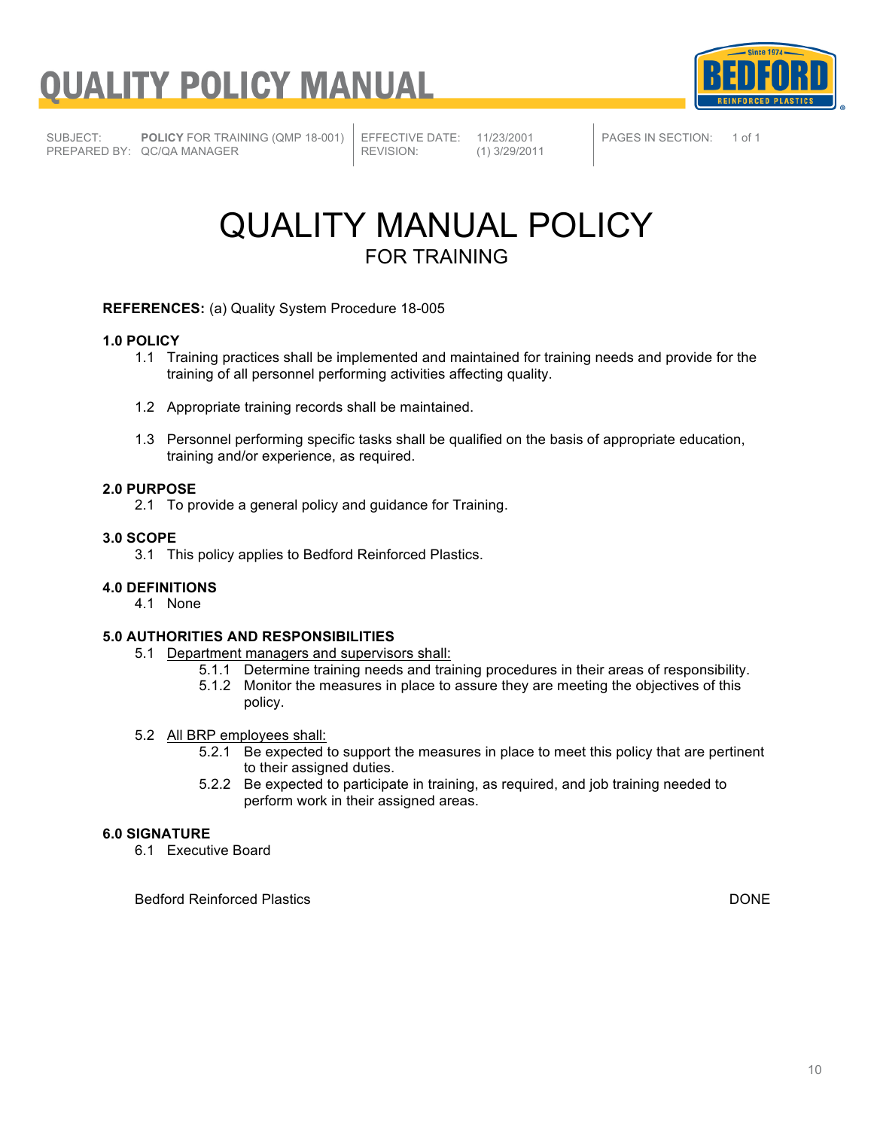



SUBJECT: **POLICY** FOR TRAINING (QMP 18-001) PREPARED BY: QC/QA MANAGER

EFFECTIVE DATE: 11/23/2001<br>REVISION: (1) 3/29/201 REVISION: (1) 3/29/2011 PAGES IN SECTION: 1 of 1

### QUALITY MANUAL POLICY FOR TRAINING

**REFERENCES:** (a) Quality System Procedure 18-005

#### **1.0 POLICY**

- 1.1 Training practices shall be implemented and maintained for training needs and provide for the training of all personnel performing activities affecting quality.
- 1.2 Appropriate training records shall be maintained.
- 1.3 Personnel performing specific tasks shall be qualified on the basis of appropriate education, training and/or experience, as required.

#### **2.0 PURPOSE**

2.1 To provide a general policy and guidance for Training.

#### **3.0 SCOPE**

3.1 This policy applies to Bedford Reinforced Plastics.

#### **4.0 DEFINITIONS**

4.1 None

#### **5.0 AUTHORITIES AND RESPONSIBILITIES**

- 5.1 Department managers and supervisors shall:
	- 5.1.1 Determine training needs and training procedures in their areas of responsibility.
	- 5.1.2 Monitor the measures in place to assure they are meeting the objectives of this policy.

#### 5.2 All BRP employees shall:

- 5.2.1 Be expected to support the measures in place to meet this policy that are pertinent to their assigned duties.
- 5.2.2 Be expected to participate in training, as required, and job training needed to perform work in their assigned areas.

#### **6.0 SIGNATURE**

6.1 Executive Board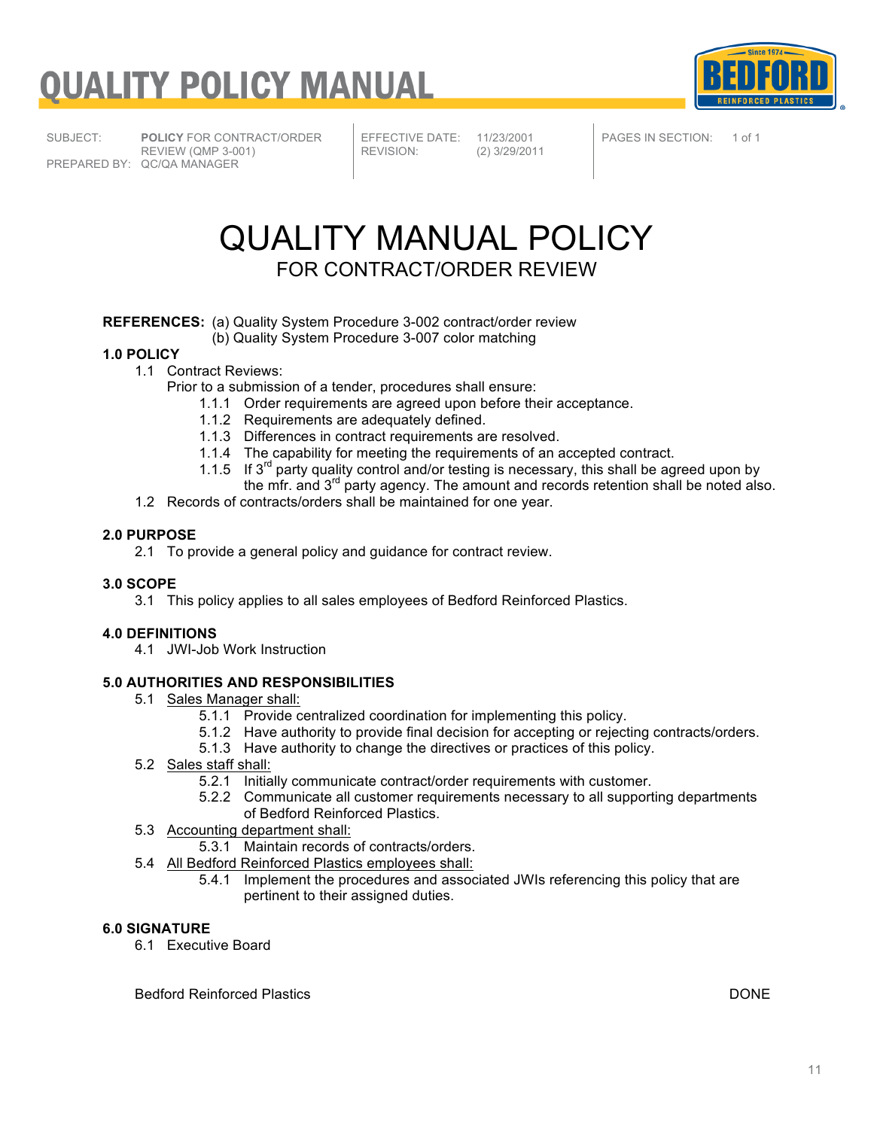

SUBJECT: **POLICY** FOR CONTRACT/ORDER REVIEW (QMP 3-001) PREPARED BY: QC/QA MANAGER

EFFECTIVE DATE: 11/23/2001<br>REVISION: (2) 3/29/201

REVISION: (2) 3/29/2011

PAGES IN SECTION: 1 of 1

### QUALITY MANUAL POLICY FOR CONTRACT/ORDER REVIEW

#### **REFERENCES:** (a) Quality System Procedure 3-002 contract/order review

(b) Quality System Procedure 3-007 color matching

#### **1.0 POLICY**

- 1.1 Contract Reviews:
	- Prior to a submission of a tender, procedures shall ensure:
		- 1.1.1 Order requirements are agreed upon before their acceptance.
		- 1.1.2 Requirements are adequately defined.
		- 1.1.3 Differences in contract requirements are resolved.
		- 1.1.4 The capability for meeting the requirements of an accepted contract.
		- 1.1.5 If  $3^{rd}$  party quality control and/or testing is necessary, this shall be agreed upon by the mfr. and 3<sup>rd</sup> party agency. The amount and records retention shall be noted also.
- 1.2 Records of contracts/orders shall be maintained for one year.

#### **2.0 PURPOSE**

2.1 To provide a general policy and guidance for contract review.

#### **3.0 SCOPE**

3.1 This policy applies to all sales employees of Bedford Reinforced Plastics.

#### **4.0 DEFINITIONS**

4.1 JWI-Job Work Instruction

#### **5.0 AUTHORITIES AND RESPONSIBILITIES**

- 5.1 Sales Manager shall:
	- 5.1.1 Provide centralized coordination for implementing this policy.
	- 5.1.2 Have authority to provide final decision for accepting or rejecting contracts/orders.
	- 5.1.3 Have authority to change the directives or practices of this policy.
- 5.2 Sales staff shall:
	- 5.2.1 Initially communicate contract/order requirements with customer.
	- 5.2.2 Communicate all customer requirements necessary to all supporting departments of Bedford Reinforced Plastics.
- 5.3 Accounting department shall:
	- 5.3.1 Maintain records of contracts/orders.
- 5.4 All Bedford Reinforced Plastics employees shall:
	- 5.4.1 Implement the procedures and associated JWIs referencing this policy that are pertinent to their assigned duties.

### **6.0 SIGNATURE**

6.1 Executive Board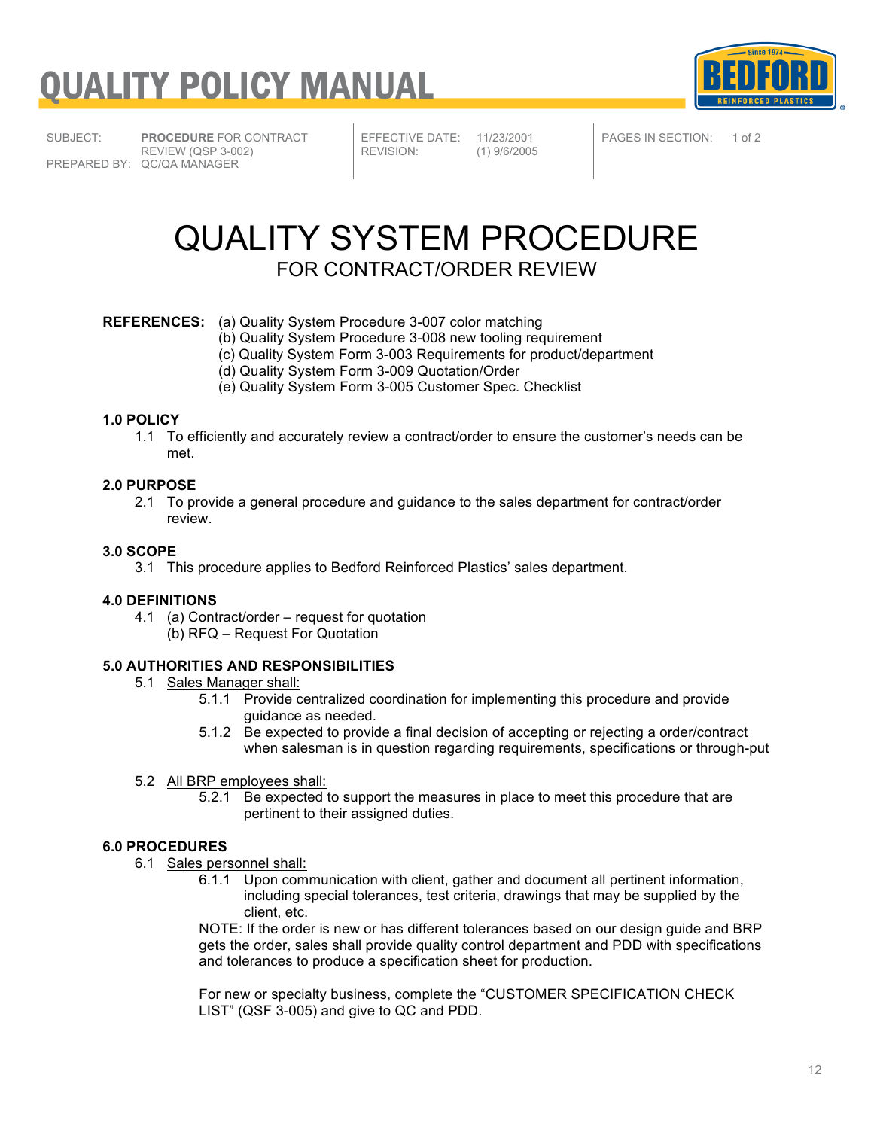



SUBJECT: **PROCEDURE** FOR CONTRACT REVIEW (QSP 3-002) PREPARED BY: QC/QA MANAGER

EFFECTIVE DATE: 11/23/2001<br>REVISION: (1) 9/6/2005

REVISION: (1) 9/6/2005

PAGES IN SECTION: 1 of 2

### QUALITY SYSTEM PROCEDURE FOR CONTRACT/ORDER REVIEW

#### **REFERENCES:** (a) Quality System Procedure 3-007 color matching

(b) Quality System Procedure 3-008 new tooling requirement

- (c) Quality System Form 3-003 Requirements for product/department
	- (d) Quality System Form 3-009 Quotation/Order
- (e) Quality System Form 3-005 Customer Spec. Checklist

#### **1.0 POLICY**

1.1 To efficiently and accurately review a contract/order to ensure the customer's needs can be met.

#### **2.0 PURPOSE**

2.1 To provide a general procedure and guidance to the sales department for contract/order review.

#### **3.0 SCOPE**

3.1 This procedure applies to Bedford Reinforced Plastics' sales department.

#### **4.0 DEFINITIONS**

4.1 (a) Contract/order – request for quotation (b) RFQ – Request For Quotation

#### **5.0 AUTHORITIES AND RESPONSIBILITIES**

- 5.1 Sales Manager shall:
	- 5.1.1 Provide centralized coordination for implementing this procedure and provide guidance as needed.
	- 5.1.2 Be expected to provide a final decision of accepting or rejecting a order/contract when salesman is in question regarding requirements, specifications or through-put
- 5.2 All BRP employees shall:
	- 5.2.1 Be expected to support the measures in place to meet this procedure that are pertinent to their assigned duties.

#### **6.0 PROCEDURES**

- 6.1 Sales personnel shall:
	- 6.1.1 Upon communication with client, gather and document all pertinent information, including special tolerances, test criteria, drawings that may be supplied by the client, etc.

NOTE: If the order is new or has different tolerances based on our design guide and BRP gets the order, sales shall provide quality control department and PDD with specifications and tolerances to produce a specification sheet for production.

For new or specialty business, complete the "CUSTOMER SPECIFICATION CHECK LIST" (QSF 3-005) and give to QC and PDD.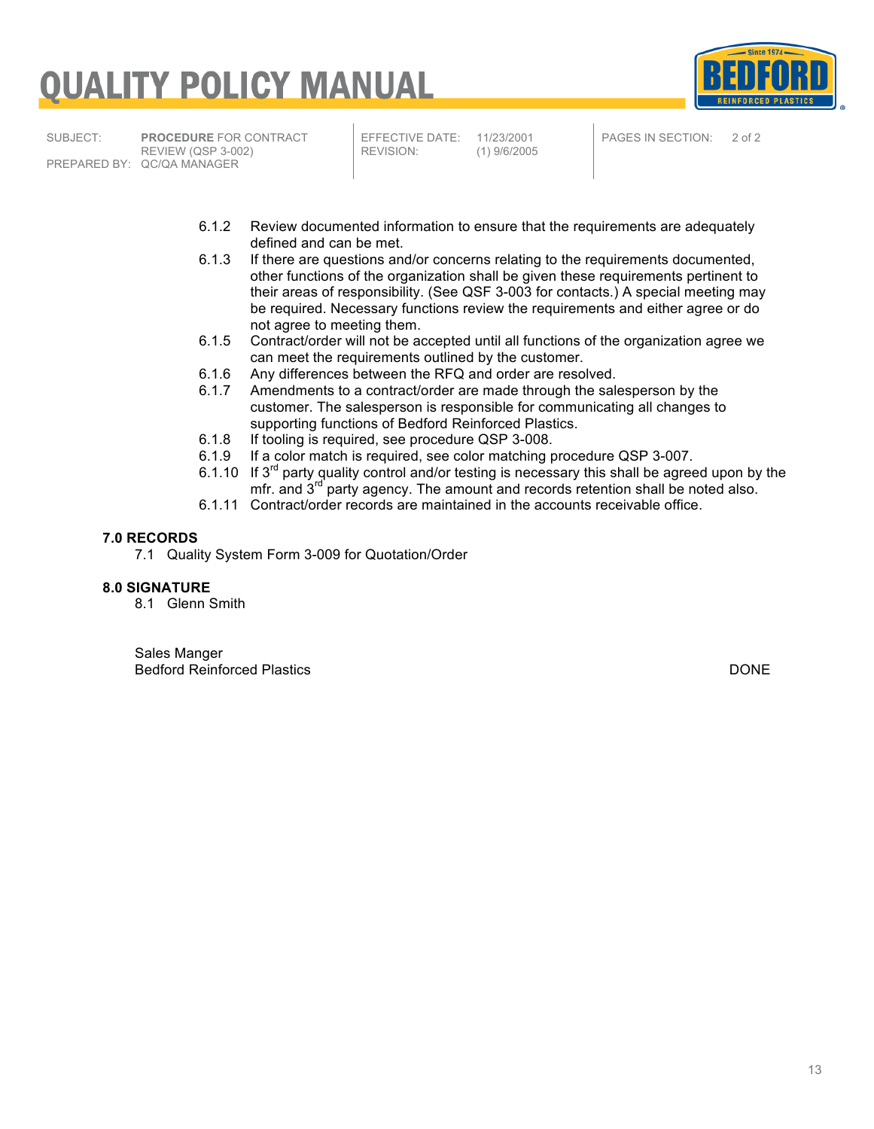# <u>UALITY POLICY MANUAL</u>



SUBJECT: **PROCEDURE** FOR CONTRACT REVIEW (QSP 3-002) PREPARED BY: QC/QA MANAGER

EFFECTIVE DATE: 11/23/2001<br>REVISION: (1) 9/6/2005 REVISION: (1) 9/6/2005 PAGES IN SECTION: 2 of 2

- 6.1.2 Review documented information to ensure that the requirements are adequately defined and can be met.
- 6.1.3 If there are questions and/or concerns relating to the requirements documented, other functions of the organization shall be given these requirements pertinent to their areas of responsibility. (See QSF 3-003 for contacts.) A special meeting may be required. Necessary functions review the requirements and either agree or do not agree to meeting them.
- 6.1.5 Contract/order will not be accepted until all functions of the organization agree we can meet the requirements outlined by the customer.
- 6.1.6 Any differences between the RFQ and order are resolved.<br>6.1.7 Amendments to a contract/order are made through the sall
- Amendments to a contract/order are made through the salesperson by the customer. The salesperson is responsible for communicating all changes to supporting functions of Bedford Reinforced Plastics.
- 6.1.8 If tooling is required, see procedure QSP 3-008.<br>6.1.9 If a color match is required, see color matching political
- If a color match is required, see color matching procedure QSP 3-007.
- 6.1.10 If  $3<sup>rd</sup>$  party quality control and/or testing is necessary this shall be agreed upon by the mfr. and 3<sup>rd</sup> party agency. The amount and records retention shall be noted also.
- 6.1.11 Contract/order records are maintained in the accounts receivable office.

#### **7.0 RECORDS**

7.1 Quality System Form 3-009 for Quotation/Order

#### **8.0 SIGNATURE**

8.1 Glenn Smith

Sales Manger Bedford Reinforced Plastics DONE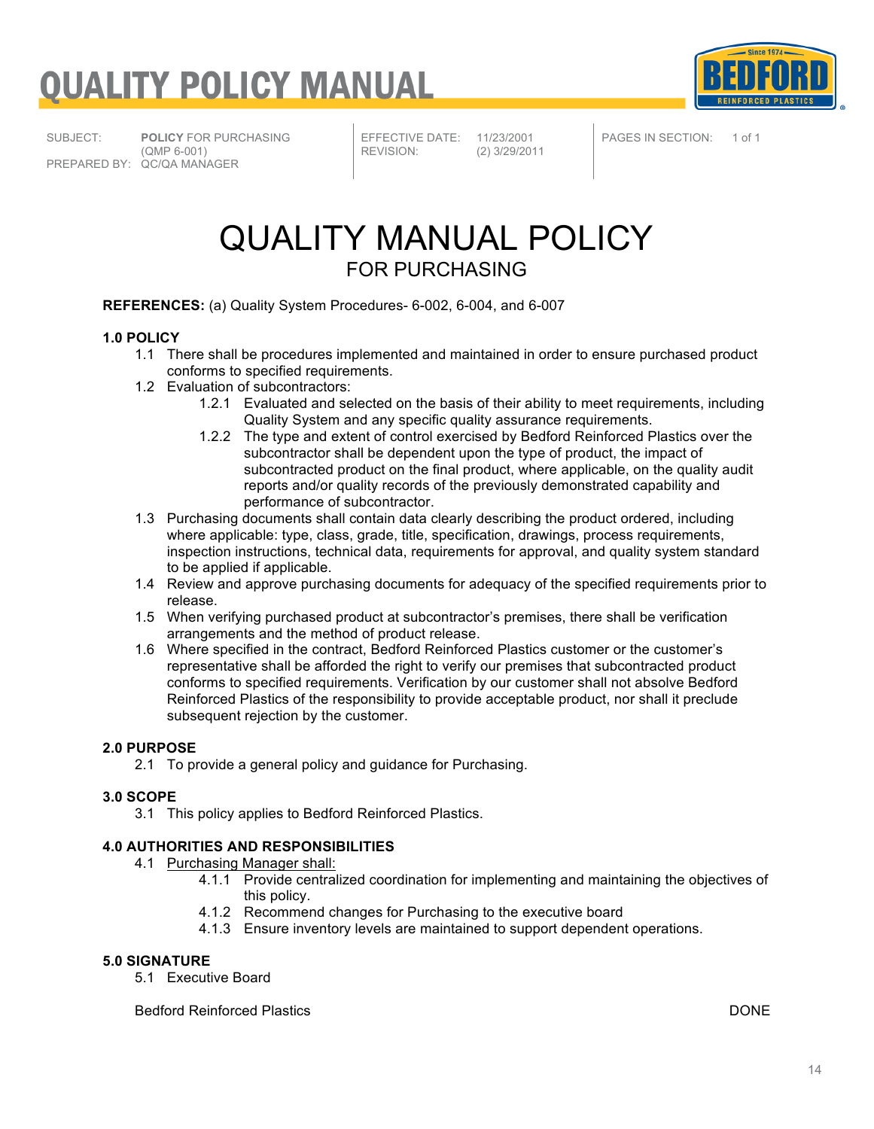



SUBJECT: **POLICY** FOR PURCHASING (QMP 6-001) PREPARED BY: QC/QA MANAGER

EFFECTIVE DATE: 11/23/2001<br>REVISION: (2) 3/29/201

REVISION: (2) 3/29/2011

PAGES IN SECTION: 1 of 1

### QUALITY MANUAL POLICY FOR PURCHASING

**REFERENCES:** (a) Quality System Procedures- 6-002, 6-004, and 6-007

#### **1.0 POLICY**

- 1.1 There shall be procedures implemented and maintained in order to ensure purchased product conforms to specified requirements.
- 1.2 Evaluation of subcontractors:
	- 1.2.1 Evaluated and selected on the basis of their ability to meet requirements, including Quality System and any specific quality assurance requirements.
	- 1.2.2 The type and extent of control exercised by Bedford Reinforced Plastics over the subcontractor shall be dependent upon the type of product, the impact of subcontracted product on the final product, where applicable, on the quality audit reports and/or quality records of the previously demonstrated capability and performance of subcontractor.
- 1.3 Purchasing documents shall contain data clearly describing the product ordered, including where applicable: type, class, grade, title, specification, drawings, process requirements, inspection instructions, technical data, requirements for approval, and quality system standard to be applied if applicable.
- 1.4 Review and approve purchasing documents for adequacy of the specified requirements prior to release.
- 1.5 When verifying purchased product at subcontractor's premises, there shall be verification arrangements and the method of product release.
- 1.6 Where specified in the contract, Bedford Reinforced Plastics customer or the customer's representative shall be afforded the right to verify our premises that subcontracted product conforms to specified requirements. Verification by our customer shall not absolve Bedford Reinforced Plastics of the responsibility to provide acceptable product, nor shall it preclude subsequent rejection by the customer.

#### **2.0 PURPOSE**

2.1 To provide a general policy and guidance for Purchasing.

#### **3.0 SCOPE**

3.1 This policy applies to Bedford Reinforced Plastics.

#### **4.0 AUTHORITIES AND RESPONSIBILITIES**

- 4.1 Purchasing Manager shall:
	- 4.1.1 Provide centralized coordination for implementing and maintaining the objectives of this policy.
	- 4.1.2 Recommend changes for Purchasing to the executive board
	- 4.1.3 Ensure inventory levels are maintained to support dependent operations.

#### **5.0 SIGNATURE**

5.1 Executive Board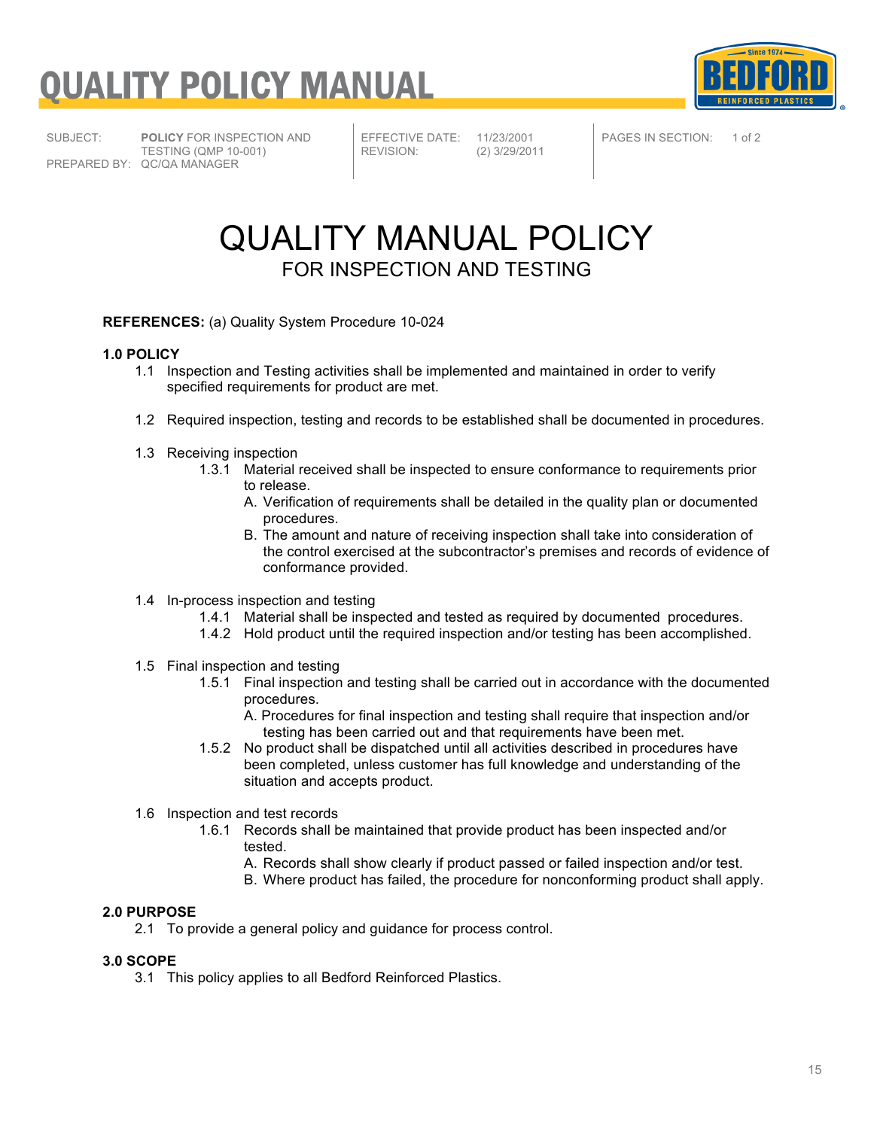



SUBJECT: **POLICY** FOR INSPECTION AND PREPARED BY: QC/QA MANAGER

TESTING (QMP 10-001)

EFFECTIVE DATE: 11/23/2001<br>REVISION: (2) 3/29/201

REVISION: (2) 3/29/2011

PAGES IN SECTION: 1 of 2

### QUALITY MANUAL POLICY FOR INSPECTION AND TESTING

#### **REFERENCES:** (a) Quality System Procedure 10-024

#### **1.0 POLICY**

- 1.1 Inspection and Testing activities shall be implemented and maintained in order to verify specified requirements for product are met.
- 1.2 Required inspection, testing and records to be established shall be documented in procedures.
- 1.3 Receiving inspection
	- 1.3.1 Material received shall be inspected to ensure conformance to requirements prior to release.
		- A. Verification of requirements shall be detailed in the quality plan or documented procedures.
		- B. The amount and nature of receiving inspection shall take into consideration of the control exercised at the subcontractor's premises and records of evidence of conformance provided.
- 1.4 In-process inspection and testing
	- 1.4.1 Material shall be inspected and tested as required by documented procedures.
	- 1.4.2 Hold product until the required inspection and/or testing has been accomplished.
- 1.5 Final inspection and testing
	- 1.5.1 Final inspection and testing shall be carried out in accordance with the documented procedures.
		- A. Procedures for final inspection and testing shall require that inspection and/or testing has been carried out and that requirements have been met.
	- 1.5.2 No product shall be dispatched until all activities described in procedures have been completed, unless customer has full knowledge and understanding of the situation and accepts product.
- 1.6 Inspection and test records
	- 1.6.1 Records shall be maintained that provide product has been inspected and/or tested.
		- A. Records shall show clearly if product passed or failed inspection and/or test.
		- B. Where product has failed, the procedure for nonconforming product shall apply.

#### **2.0 PURPOSE**

2.1 To provide a general policy and guidance for process control.

#### **3.0 SCOPE**

3.1 This policy applies to all Bedford Reinforced Plastics.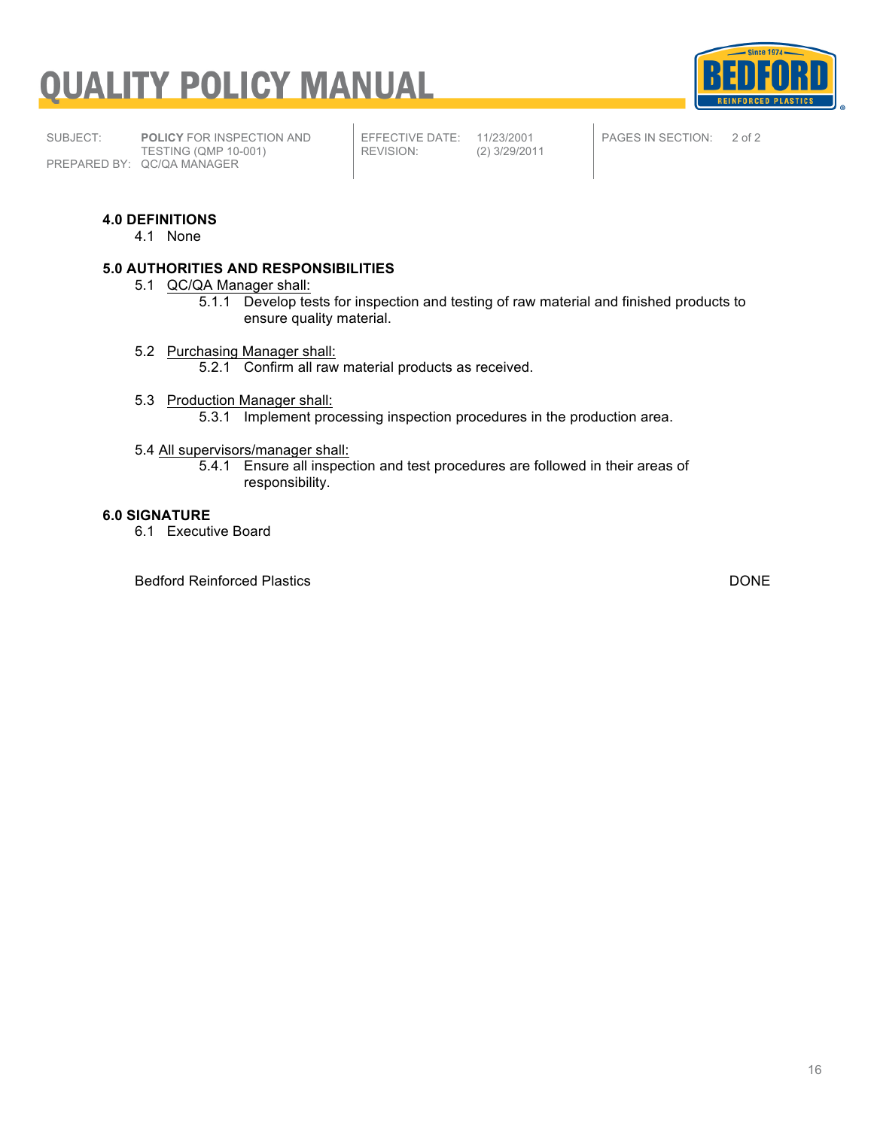

SUBJECT: **POLICY** FOR INSPECTION AND TESTING (QMP 10-001) PREPARED BY: QC/QA MANAGER

EFFECTIVE DATE: 11/23/2001<br>REVISION: (2) 3/29/201

REVISION: (2) 3/29/2011

PAGES IN SECTION: 2 of 2

#### **4.0 DEFINITIONS**

4.1 None

#### **5.0 AUTHORITIES AND RESPONSIBILITIES**

- 5.1 QC/QA Manager shall:
	- 5.1.1 Develop tests for inspection and testing of raw material and finished products to ensure quality material.
- 5.2 Purchasing Manager shall:
	- 5.2.1 Confirm all raw material products as received.
- 5.3 Production Manager shall: 5.3.1 Implement processing inspection procedures in the production area.

#### 5.4 All supervisors/manager shall:

5.4.1 Ensure all inspection and test procedures are followed in their areas of responsibility.

#### **6.0 SIGNATURE**

6.1 Executive Board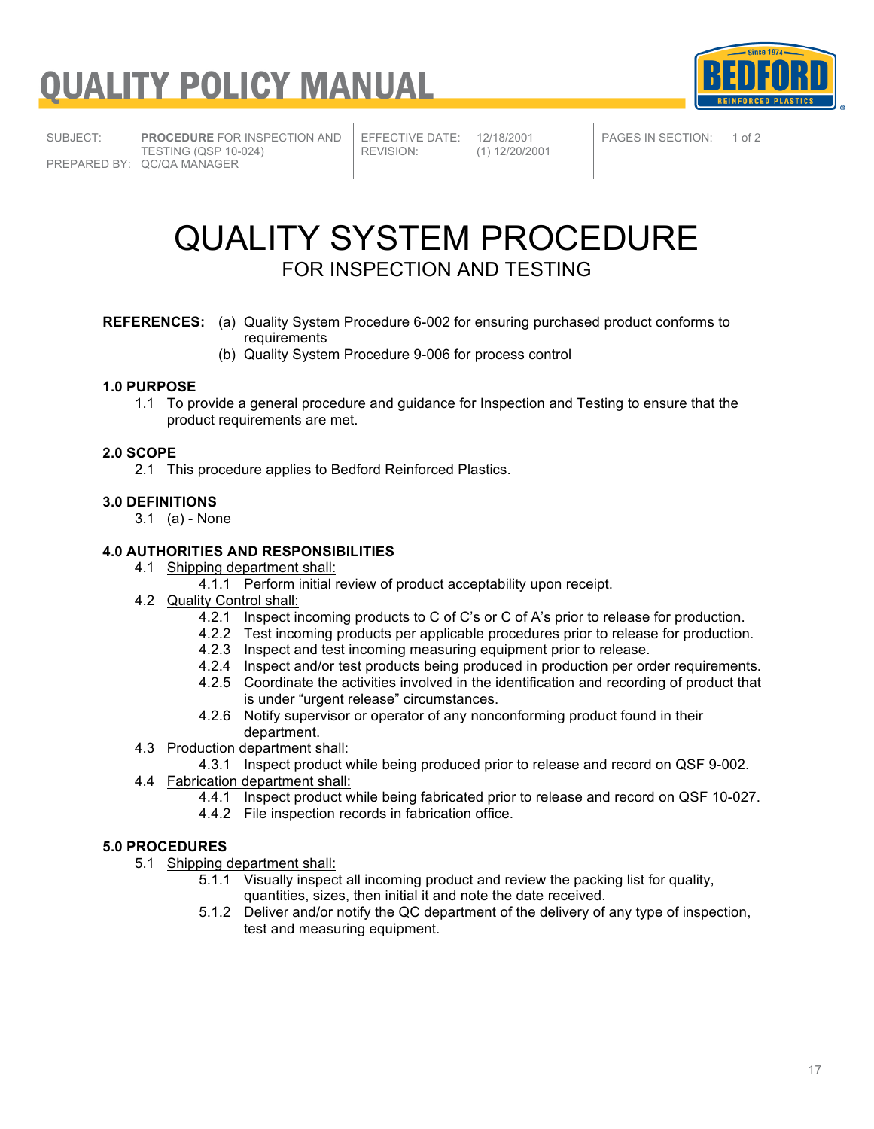

SUBJECT: **PROCEDURE** FOR INSPECTION AND TESTING (QSP 10-024) PREPARED BY: QC/QA MANAGER

EFFECTIVE DATE: 12/18/2001<br>REVISION: (1) 12/20/20

REVISION: (1) 12/20/2001

PAGES IN SECTION: 1 of 2

### QUALITY SYSTEM PROCEDURE FOR INSPECTION AND TESTING

#### **REFERENCES:** (a) Quality System Procedure 6-002 for ensuring purchased product conforms to requirements

(b) Quality System Procedure 9-006 for process control

#### **1.0 PURPOSE**

1.1 To provide a general procedure and guidance for Inspection and Testing to ensure that the product requirements are met.

#### **2.0 SCOPE**

2.1 This procedure applies to Bedford Reinforced Plastics.

#### **3.0 DEFINITIONS**

3.1 (a) - None

#### **4.0 AUTHORITIES AND RESPONSIBILITIES**

- 4.1 Shipping department shall:
	- 4.1.1 Perform initial review of product acceptability upon receipt.
- 4.2 Quality Control shall:
	- 4.2.1 Inspect incoming products to C of C's or C of A's prior to release for production.
	- 4.2.2 Test incoming products per applicable procedures prior to release for production.
	- 4.2.3 Inspect and test incoming measuring equipment prior to release.
	- 4.2.4 Inspect and/or test products being produced in production per order requirements.
	- 4.2.5 Coordinate the activities involved in the identification and recording of product that is under "urgent release" circumstances.
	- 4.2.6 Notify supervisor or operator of any nonconforming product found in their department.
- 4.3 Production department shall:
	- 4.3.1 Inspect product while being produced prior to release and record on QSF 9-002.
- 4.4 Fabrication department shall:
	- 4.4.1 Inspect product while being fabricated prior to release and record on QSF 10-027.
	- 4.4.2 File inspection records in fabrication office.

#### **5.0 PROCEDURES**

- 5.1 Shipping department shall:
	- 5.1.1 Visually inspect all incoming product and review the packing list for quality, quantities, sizes, then initial it and note the date received.
	- 5.1.2 Deliver and/or notify the QC department of the delivery of any type of inspection, test and measuring equipment.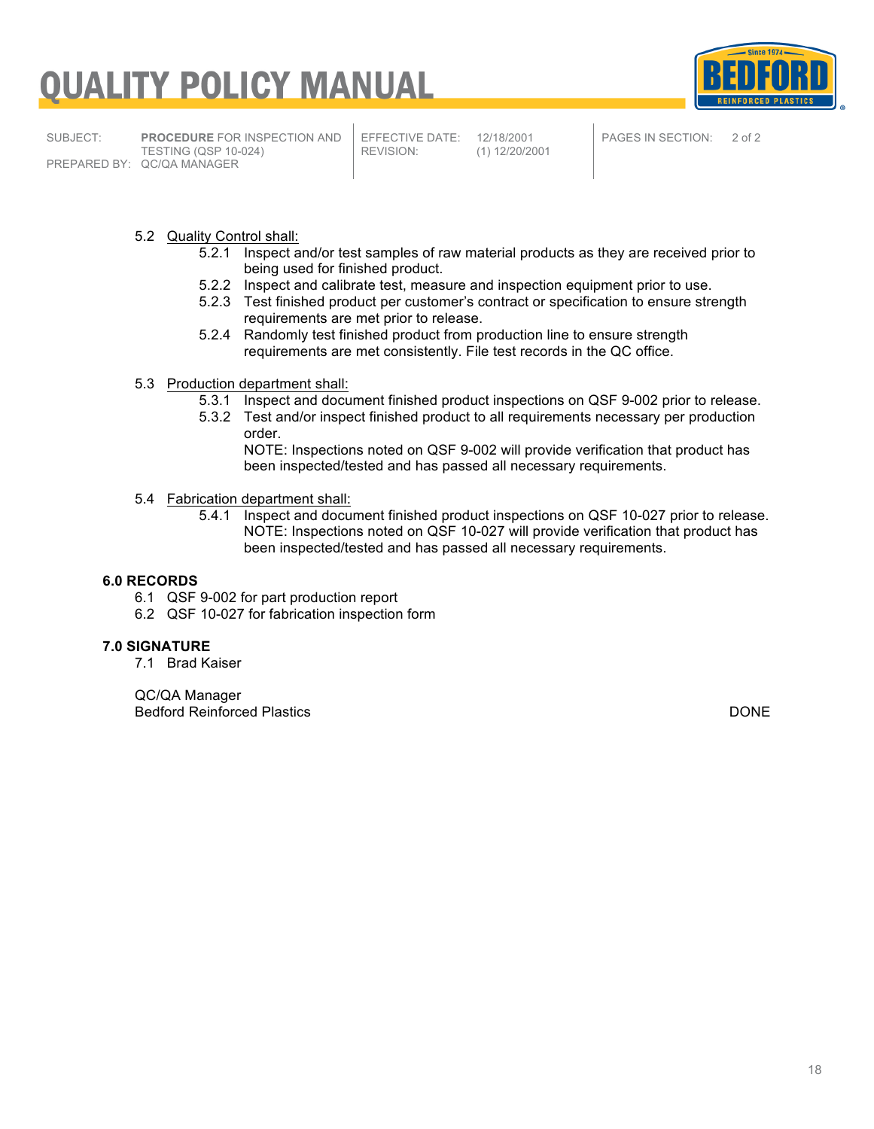

SUBJECT: **PROCEDURE** FOR INSPECTION AND TESTING (QSP 10-024) PREPARED BY: QC/QA MANAGER

EFFECTIVE DATE: 12/18/2001<br>REVISION: (1) 12/20/20

REVISION: (1) 12/20/2001

PAGES IN SECTION: 2 of 2

- 5.2 Quality Control shall:
	- 5.2.1 Inspect and/or test samples of raw material products as they are received prior to being used for finished product.
	- 5.2.2 Inspect and calibrate test, measure and inspection equipment prior to use.
	- 5.2.3 Test finished product per customer's contract or specification to ensure strength requirements are met prior to release.
	- 5.2.4 Randomly test finished product from production line to ensure strength requirements are met consistently. File test records in the QC office.
- 5.3 Production department shall:
	- 5.3.1 Inspect and document finished product inspections on QSF 9-002 prior to release.
	- 5.3.2 Test and/or inspect finished product to all requirements necessary per production order.

NOTE: Inspections noted on QSF 9-002 will provide verification that product has been inspected/tested and has passed all necessary requirements.

- 5.4 Fabrication department shall:
	- 5.4.1 Inspect and document finished product inspections on QSF 10-027 prior to release. NOTE: Inspections noted on QSF 10-027 will provide verification that product has been inspected/tested and has passed all necessary requirements.

#### **6.0 RECORDS**

- 6.1 QSF 9-002 for part production report
- 6.2 QSF 10-027 for fabrication inspection form

#### **7.0 SIGNATURE**

7.1 Brad Kaiser

QC/QA Manager Bedford Reinforced Plastics DONE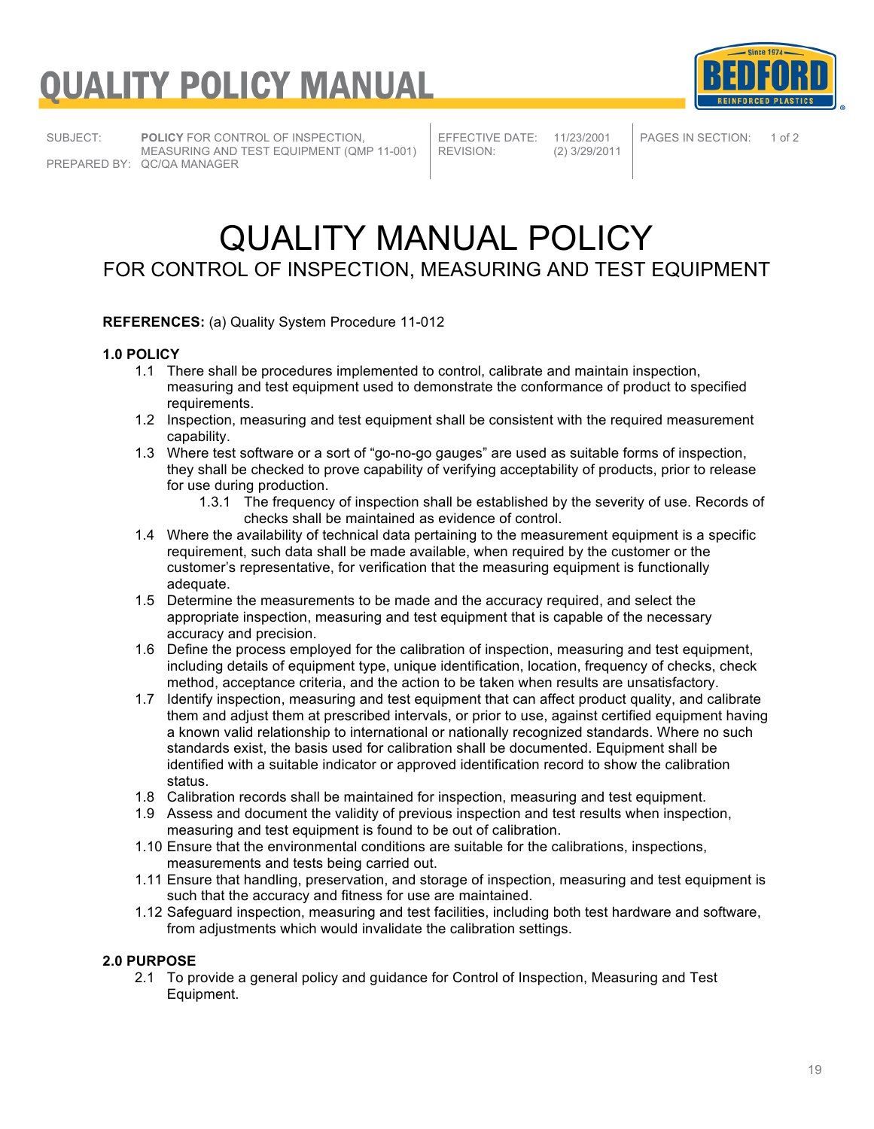SUBJECT: **POLICY** FOR CONTROL OF INSPECTION, MEASURING AND TEST EQUIPMENT (QMP 11-001) PREPARED BY: QC/QA MANAGER

EFFECTIVE DATE: 11/23/2001<br>REVISION: (2) 3/29/201

REVISION: (2) 3/29/2011

PAGES IN SECTION: 1 of 2

**Since 1974** 

### QUALITY MANUAL POLICY FOR CONTROL OF INSPECTION, MEASURING AND TEST EQUIPMENT

#### **REFERENCES:** (a) Quality System Procedure 11-012

#### **1.0 POLICY**

- 1.1 There shall be procedures implemented to control, calibrate and maintain inspection, measuring and test equipment used to demonstrate the conformance of product to specified requirements.
- 1.2 Inspection, measuring and test equipment shall be consistent with the required measurement capability.
- 1.3 Where test software or a sort of "go-no-go gauges" are used as suitable forms of inspection, they shall be checked to prove capability of verifying acceptability of products, prior to release for use during production.
	- 1.3.1 The frequency of inspection shall be established by the severity of use. Records of checks shall be maintained as evidence of control.
- 1.4 Where the availability of technical data pertaining to the measurement equipment is a specific requirement, such data shall be made available, when required by the customer or the customer's representative, for verification that the measuring equipment is functionally adequate.
- 1.5 Determine the measurements to be made and the accuracy required, and select the appropriate inspection, measuring and test equipment that is capable of the necessary accuracy and precision.
- 1.6 Define the process employed for the calibration of inspection, measuring and test equipment, including details of equipment type, unique identification, location, frequency of checks, check method, acceptance criteria, and the action to be taken when results are unsatisfactory.
- 1.7 Identify inspection, measuring and test equipment that can affect product quality, and calibrate them and adjust them at prescribed intervals, or prior to use, against certified equipment having a known valid relationship to international or nationally recognized standards. Where no such standards exist, the basis used for calibration shall be documented. Equipment shall be identified with a suitable indicator or approved identification record to show the calibration status.
- 1.8 Calibration records shall be maintained for inspection, measuring and test equipment.
- 1.9 Assess and document the validity of previous inspection and test results when inspection, measuring and test equipment is found to be out of calibration.
- 1.10 Ensure that the environmental conditions are suitable for the calibrations, inspections, measurements and tests being carried out.
- 1.11 Ensure that handling, preservation, and storage of inspection, measuring and test equipment is such that the accuracy and fitness for use are maintained.
- 1.12 Safeguard inspection, measuring and test facilities, including both test hardware and software, from adjustments which would invalidate the calibration settings.

#### **2.0 PURPOSE**

2.1 To provide a general policy and guidance for Control of Inspection, Measuring and Test Equipment.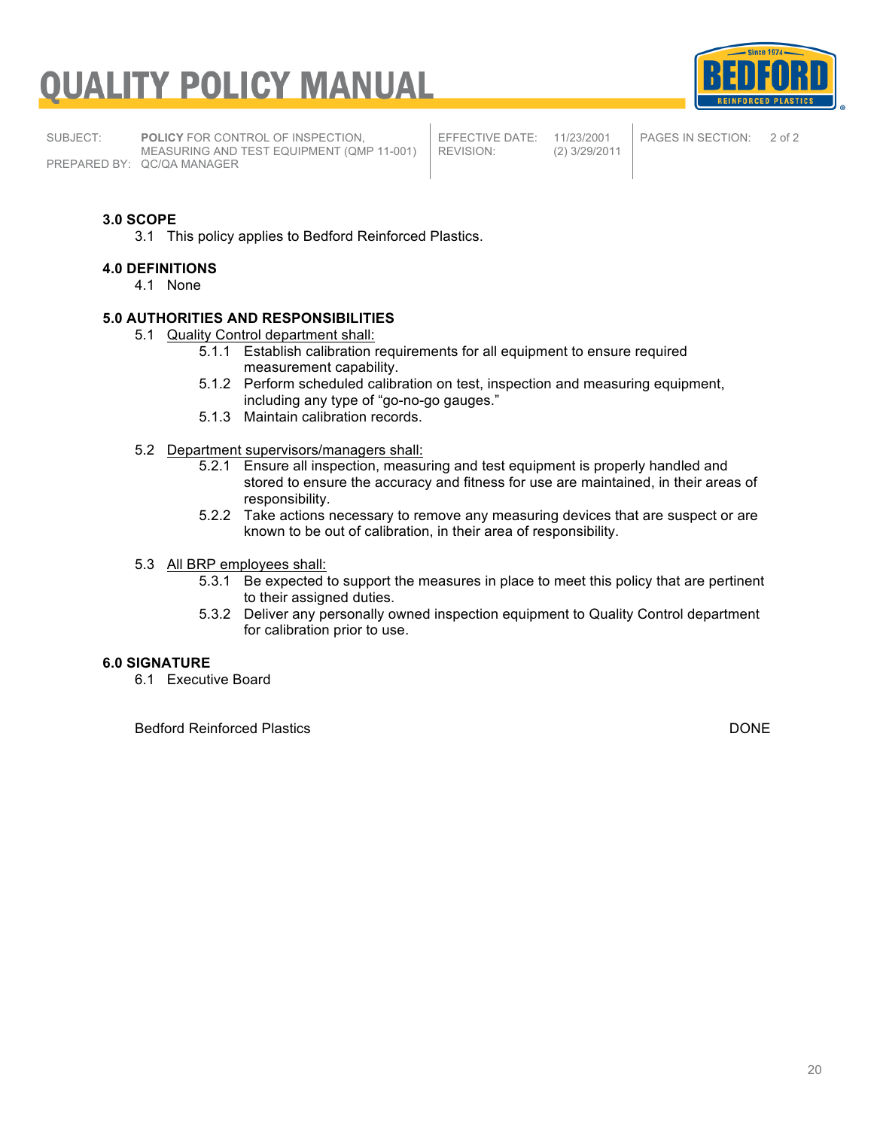**Since 1974** 

SUBJECT: **POLICY** FOR CONTROL OF INSPECTION, MEASURING AND TEST EQUIPMENT (QMP 11-001) PREPARED BY: QC/QA MANAGER

EFFECTIVE DATE: 11/23/2001<br>REVISION: (2) 3/29/201

REVISION: (2) 3/29/2011

PAGES IN SECTION: 2 of 2

#### **3.0 SCOPE**

3.1 This policy applies to Bedford Reinforced Plastics.

#### **4.0 DEFINITIONS**

4.1 None

#### **5.0 AUTHORITIES AND RESPONSIBILITIES**

- 5.1 Quality Control department shall:
	- 5.1.1 Establish calibration requirements for all equipment to ensure required measurement capability.
	- 5.1.2 Perform scheduled calibration on test, inspection and measuring equipment, including any type of "go-no-go gauges."
	- 5.1.3 Maintain calibration records.
- 5.2 Department supervisors/managers shall:
	- 5.2.1 Ensure all inspection, measuring and test equipment is properly handled and stored to ensure the accuracy and fitness for use are maintained, in their areas of responsibility.
	- 5.2.2 Take actions necessary to remove any measuring devices that are suspect or are known to be out of calibration, in their area of responsibility.
- 5.3 All BRP employees shall:
	- 5.3.1 Be expected to support the measures in place to meet this policy that are pertinent to their assigned duties.
	- 5.3.2 Deliver any personally owned inspection equipment to Quality Control department for calibration prior to use.

#### **6.0 SIGNATURE**

6.1 Executive Board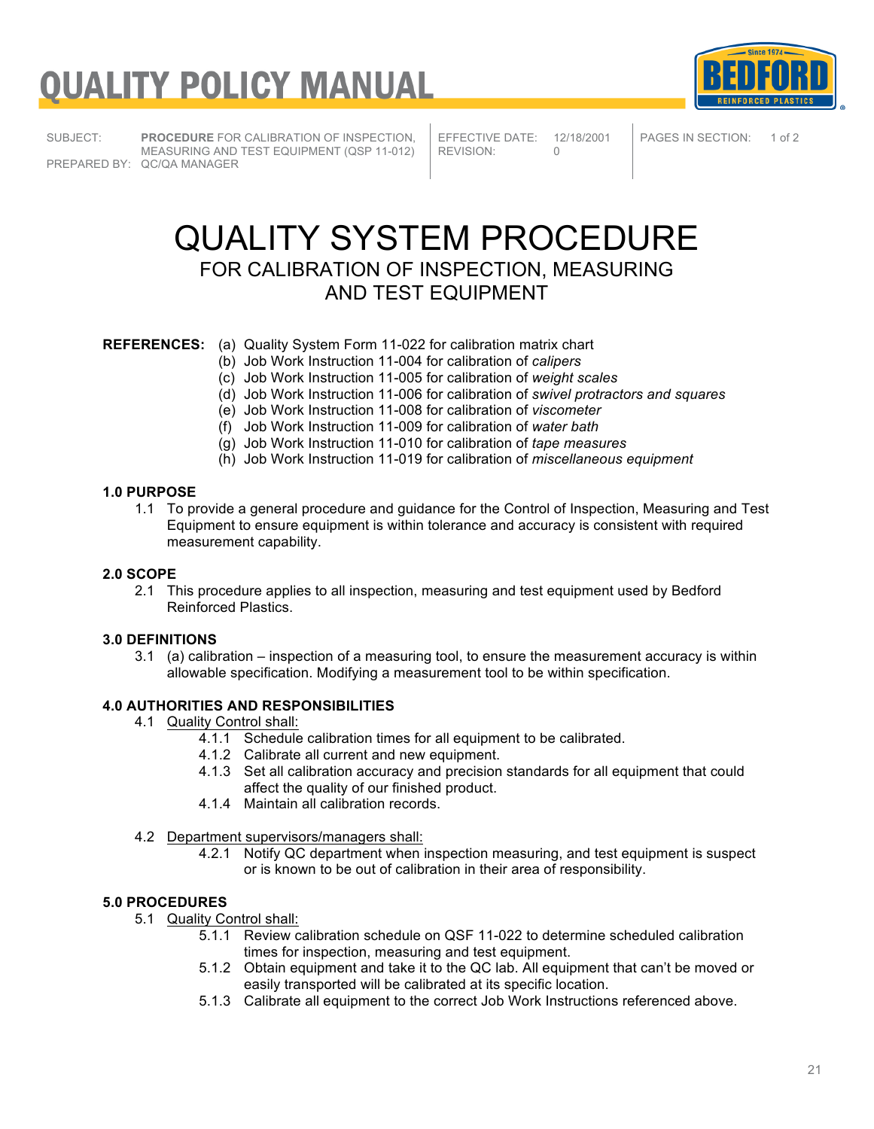

SUBJECT: **PROCEDURE** FOR CALIBRATION OF INSPECTION, MEASURING AND TEST EQUIPMENT (QSP 11-012) PREPARED BY: QC/QA MANAGER

EFFECTIVE DATE: 12/18/2001<br>REVISION: 0 REVISION:

PAGES IN SECTION: 1 of 2

# QUALITY SYSTEM PROCEDURE

### FOR CALIBRATION OF INSPECTION, MEASURING AND TEST EQUIPMENT

### **REFERENCES:** (a) Quality System Form 11-022 for calibration matrix chart

- (b) Job Work Instruction 11-004 for calibration of *calipers*
- (c) Job Work Instruction 11-005 for calibration of *weight scales*
- (d) Job Work Instruction 11-006 for calibration of *swivel protractors and squares*
	- (e) Job Work Instruction 11-008 for calibration of *viscometer*
	- (f) Job Work Instruction 11-009 for calibration of *water bath*
	- (g) Job Work Instruction 11-010 for calibration of *tape measures*
	- (h) Job Work Instruction 11-019 for calibration of *miscellaneous equipment*

#### **1.0 PURPOSE**

1.1 To provide a general procedure and guidance for the Control of Inspection, Measuring and Test Equipment to ensure equipment is within tolerance and accuracy is consistent with required measurement capability.

#### **2.0 SCOPE**

2.1 This procedure applies to all inspection, measuring and test equipment used by Bedford Reinforced Plastics.

#### **3.0 DEFINITIONS**

3.1 (a) calibration – inspection of a measuring tool, to ensure the measurement accuracy is within allowable specification. Modifying a measurement tool to be within specification.

#### **4.0 AUTHORITIES AND RESPONSIBILITIES**

- 4.1 Quality Control shall:
	- 4.1.1 Schedule calibration times for all equipment to be calibrated.
	- 4.1.2 Calibrate all current and new equipment.
	- 4.1.3 Set all calibration accuracy and precision standards for all equipment that could affect the quality of our finished product.
	- 4.1.4 Maintain all calibration records.
- 4.2 Department supervisors/managers shall:
	- 4.2.1 Notify QC department when inspection measuring, and test equipment is suspect or is known to be out of calibration in their area of responsibility.

#### **5.0 PROCEDURES**

- 5.1 Quality Control shall:
	- 5.1.1 Review calibration schedule on QSF 11-022 to determine scheduled calibration times for inspection, measuring and test equipment.
	- 5.1.2 Obtain equipment and take it to the QC lab. All equipment that can't be moved or easily transported will be calibrated at its specific location.
	- 5.1.3 Calibrate all equipment to the correct Job Work Instructions referenced above.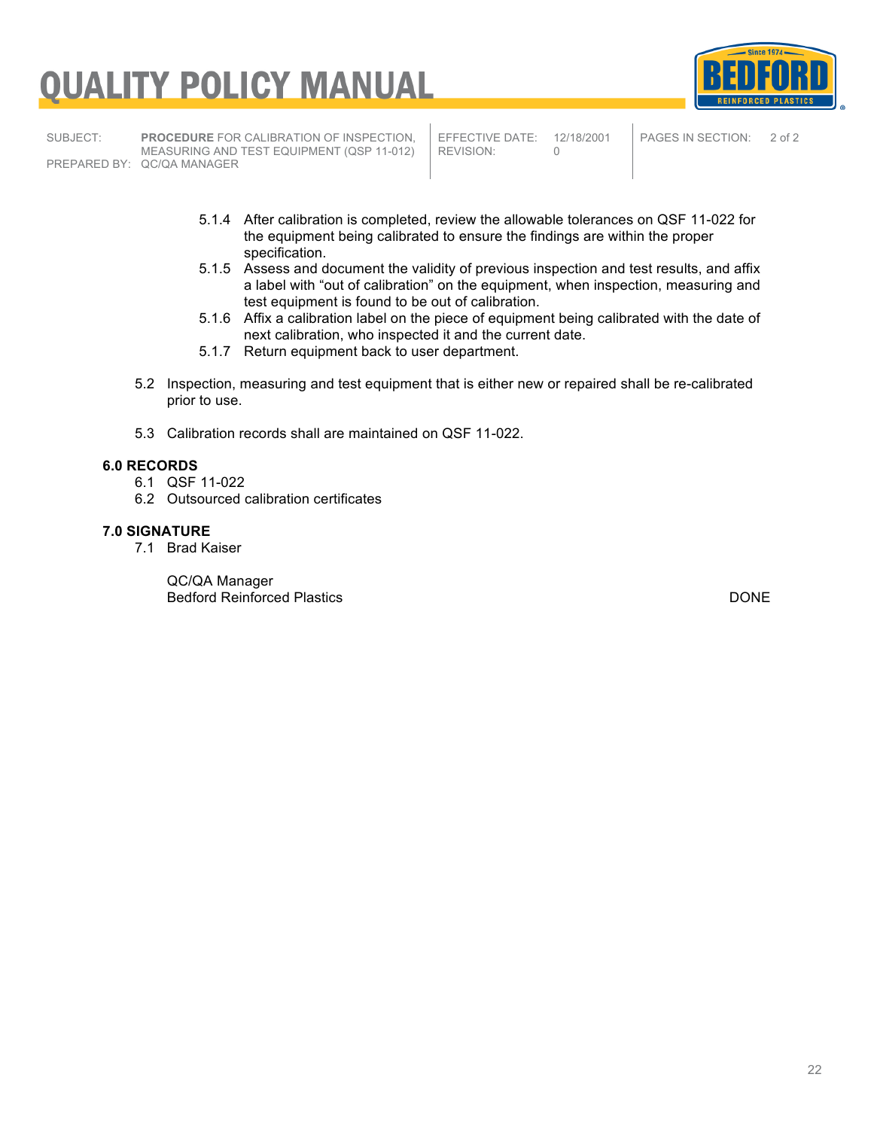SUBJECT: **PROCEDURE** FOR CALIBRATION OF INSPECTION, MEASURING AND TEST EQUIPMENT (QSP 11-012) PREPARED BY: QC/QA MANAGER

EFFECTIVE DATE: 12/18/2001<br>REVISION: 0 REVISION:

PAGES IN SECTION: 2 of 2

**DEINERDPER** 

**Since 1974** 

- 5.1.4 After calibration is completed, review the allowable tolerances on QSF 11-022 for the equipment being calibrated to ensure the findings are within the proper specification.
- 5.1.5 Assess and document the validity of previous inspection and test results, and affix a label with "out of calibration" on the equipment, when inspection, measuring and test equipment is found to be out of calibration.
- 5.1.6 Affix a calibration label on the piece of equipment being calibrated with the date of next calibration, who inspected it and the current date.
- 5.1.7 Return equipment back to user department.
- 5.2 Inspection, measuring and test equipment that is either new or repaired shall be re-calibrated prior to use.
- 5.3 Calibration records shall are maintained on QSF 11-022.

#### **6.0 RECORDS**

- 6.1 QSF 11-022
- 6.2 Outsourced calibration certificates

#### **7.0 SIGNATURE**

7.1 Brad Kaiser

QC/QA Manager Bedford Reinforced Plastics DONE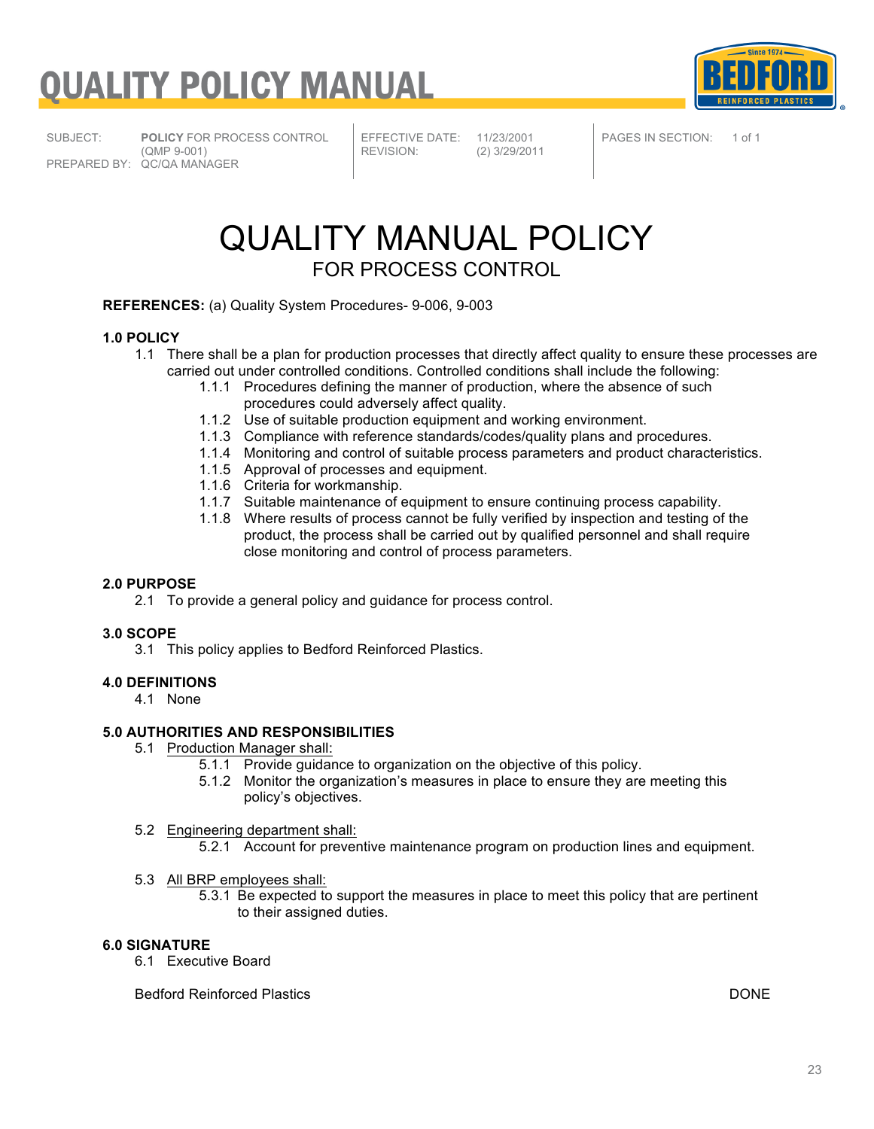

SUBJECT: **POLICY** FOR PROCESS CONTROL (QMP 9-001) PREPARED BY: QC/QA MANAGER

EFFECTIVE DATE: 11/23/2001<br>REVISION: (2) 3/29/201

REVISION: (2) 3/29/2011

PAGES IN SECTION: 1 of 1

### QUALITY MANUAL POLICY FOR PROCESS CONTROL

**REFERENCES:** (a) Quality System Procedures- 9-006, 9-003

#### **1.0 POLICY**

- 1.1 There shall be a plan for production processes that directly affect quality to ensure these processes are carried out under controlled conditions. Controlled conditions shall include the following:
	- 1.1.1 Procedures defining the manner of production, where the absence of such procedures could adversely affect quality.
	- 1.1.2 Use of suitable production equipment and working environment.
	- 1.1.3 Compliance with reference standards/codes/quality plans and procedures.
	- 1.1.4 Monitoring and control of suitable process parameters and product characteristics.
	- 1.1.5 Approval of processes and equipment.
	- 1.1.6 Criteria for workmanship.
	- 1.1.7 Suitable maintenance of equipment to ensure continuing process capability.
	- 1.1.8 Where results of process cannot be fully verified by inspection and testing of the product, the process shall be carried out by qualified personnel and shall require close monitoring and control of process parameters.

#### **2.0 PURPOSE**

2.1 To provide a general policy and guidance for process control.

#### **3.0 SCOPE**

3.1 This policy applies to Bedford Reinforced Plastics.

#### **4.0 DEFINITIONS**

4.1 None

#### **5.0 AUTHORITIES AND RESPONSIBILITIES**

- 5.1 Production Manager shall:
	- 5.1.1 Provide guidance to organization on the objective of this policy.
	- 5.1.2 Monitor the organization's measures in place to ensure they are meeting this policy's objectives.

#### 5.2 Engineering department shall:

- 5.2.1 Account for preventive maintenance program on production lines and equipment.
- 5.3 All BRP employees shall:
	- 5.3.1 Be expected to support the measures in place to meet this policy that are pertinent to their assigned duties.

#### **6.0 SIGNATURE**

6.1 Executive Board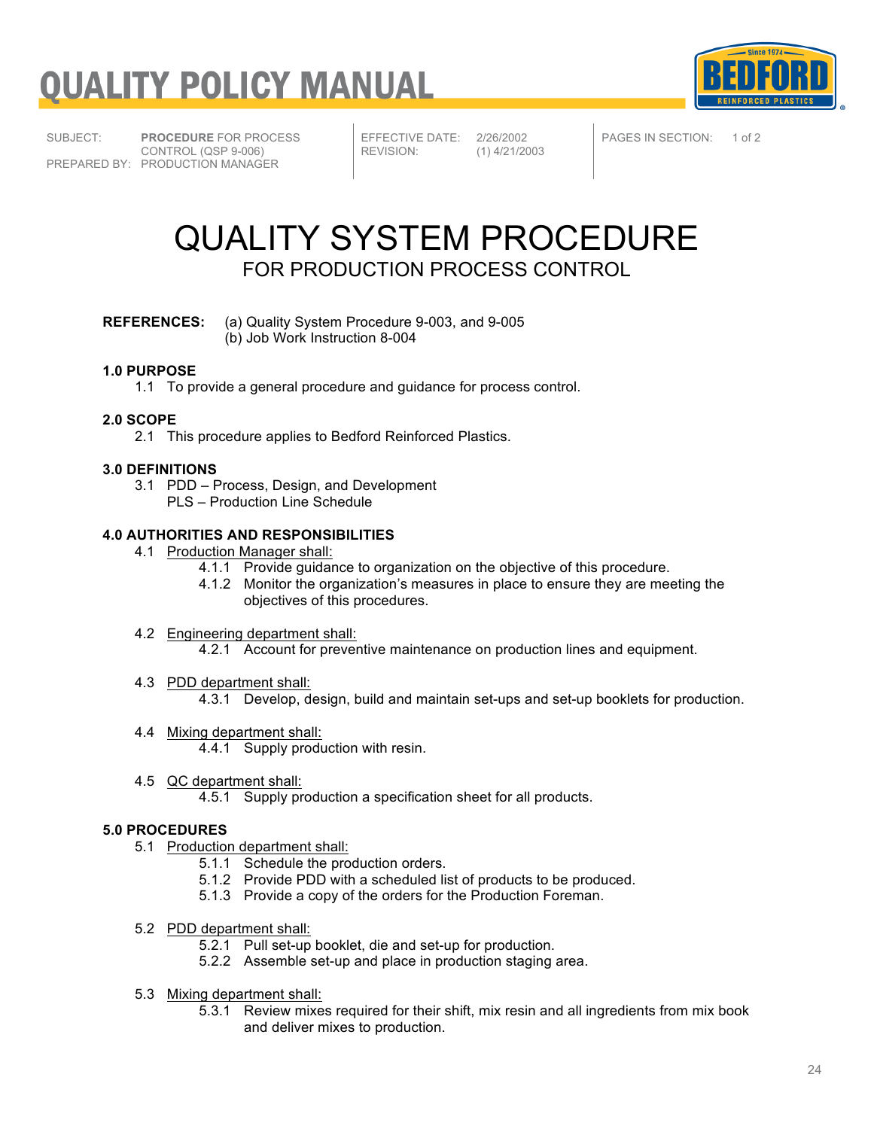



SUBJECT: **PROCEDURE** FOR PROCESS CONTROL (QSP 9-006) PREPARED BY: PRODUCTION MANAGER

EFFECTIVE DATE: 2/26/2002<br>REVISION: (1) 4/21/20

 $(1)$  4/21/2003

PAGES IN SECTION: 1 of 2

### QUALITY SYSTEM PROCEDURE FOR PRODUCTION PROCESS CONTROL

#### **REFERENCES:** (a) Quality System Procedure 9-003, and 9-005 (b) Job Work Instruction 8-004

#### **1.0 PURPOSE**

1.1 To provide a general procedure and guidance for process control.

#### **2.0 SCOPE**

2.1 This procedure applies to Bedford Reinforced Plastics.

#### **3.0 DEFINITIONS**

- 3.1 PDD Process, Design, and Development
	- PLS Production Line Schedule

#### **4.0 AUTHORITIES AND RESPONSIBILITIES**

- 4.1 Production Manager shall:
	- 4.1.1 Provide guidance to organization on the objective of this procedure.
	- 4.1.2 Monitor the organization's measures in place to ensure they are meeting the objectives of this procedures.
- 4.2 Engineering department shall:
	- 4.2.1 Account for preventive maintenance on production lines and equipment.
- 4.3 PDD department shall:
	- 4.3.1 Develop, design, build and maintain set-ups and set-up booklets for production.
- 4.4 Mixing department shall:
	- 4.4.1 Supply production with resin.
- 4.5 QC department shall:
	- 4.5.1 Supply production a specification sheet for all products.

#### **5.0 PROCEDURES**

- 5.1 Production department shall:
	- 5.1.1 Schedule the production orders.
	- 5.1.2 Provide PDD with a scheduled list of products to be produced.
	- 5.1.3 Provide a copy of the orders for the Production Foreman.
- 5.2 PDD department shall:
	- 5.2.1 Pull set-up booklet, die and set-up for production.
	- 5.2.2 Assemble set-up and place in production staging area.
- 5.3 Mixing department shall:
	- 5.3.1 Review mixes required for their shift, mix resin and all ingredients from mix book and deliver mixes to production.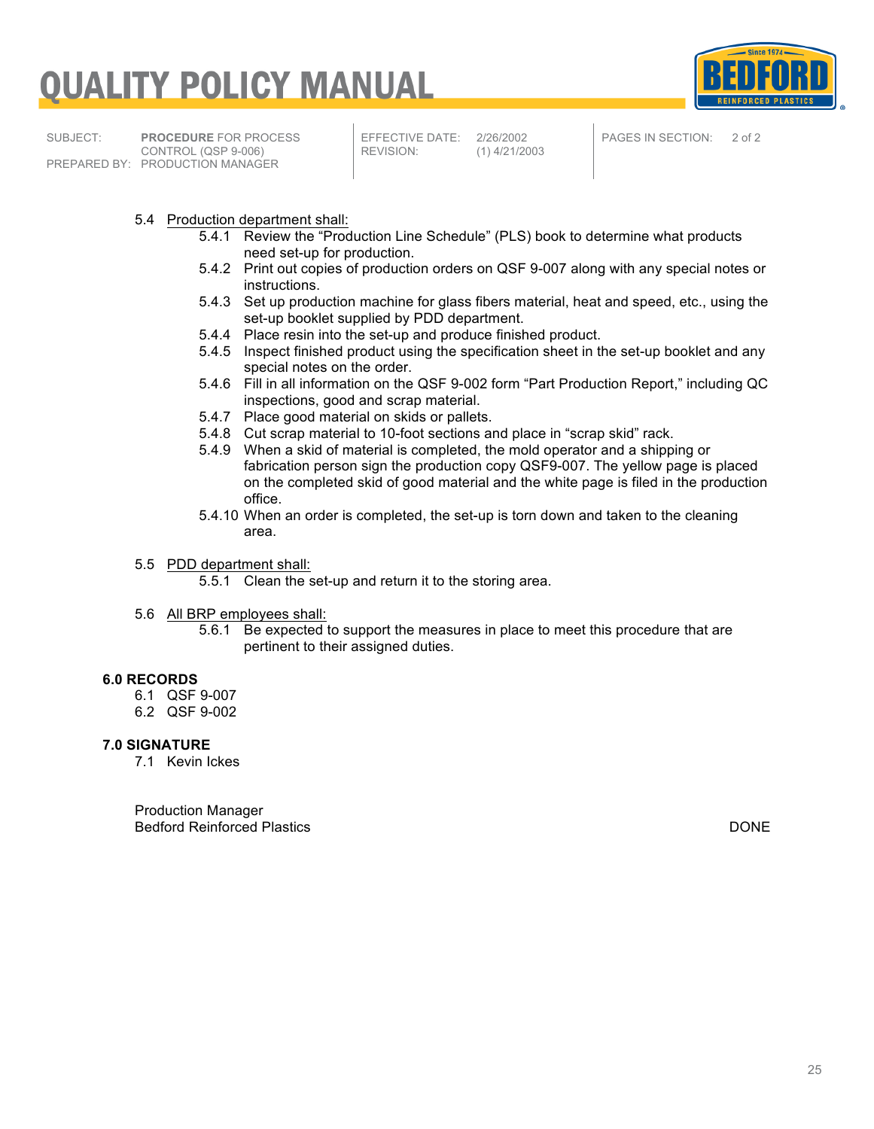



SUBJECT: **PROCEDURE** FOR PROCESS CONTROL (QSP 9-006) PREPARED BY: PRODUCTION MANAGER

EFFECTIVE DATE: 2/26/2002<br>REVISION: (1) 4/21/20

 $(1)$  4/21/2003

PAGES IN SECTION: 2 of 2

- 5.4 Production department shall:
	- 5.4.1 Review the "Production Line Schedule" (PLS) book to determine what products need set-up for production.
	- 5.4.2 Print out copies of production orders on QSF 9-007 along with any special notes or instructions.
	- 5.4.3 Set up production machine for glass fibers material, heat and speed, etc., using the set-up booklet supplied by PDD department.
	- 5.4.4 Place resin into the set-up and produce finished product.
	- 5.4.5 Inspect finished product using the specification sheet in the set-up booklet and any special notes on the order.
	- 5.4.6 Fill in all information on the QSF 9-002 form "Part Production Report," including QC inspections, good and scrap material.
	- 5.4.7 Place good material on skids or pallets.
	- 5.4.8 Cut scrap material to 10-foot sections and place in "scrap skid" rack.
	- 5.4.9 When a skid of material is completed, the mold operator and a shipping or fabrication person sign the production copy QSF9-007. The yellow page is placed on the completed skid of good material and the white page is filed in the production office.
	- 5.4.10 When an order is completed, the set-up is torn down and taken to the cleaning area.
- 5.5 PDD department shall:

5.5.1 Clean the set-up and return it to the storing area.

- 5.6 All BRP employees shall:
	- 5.6.1 Be expected to support the measures in place to meet this procedure that are pertinent to their assigned duties.

#### **6.0 RECORDS**

- 6.1 QSF 9-007
- 6.2 QSF 9-002

#### **7.0 SIGNATURE**

7.1 Kevin Ickes

Production Manager Bedford Reinforced Plastics DONE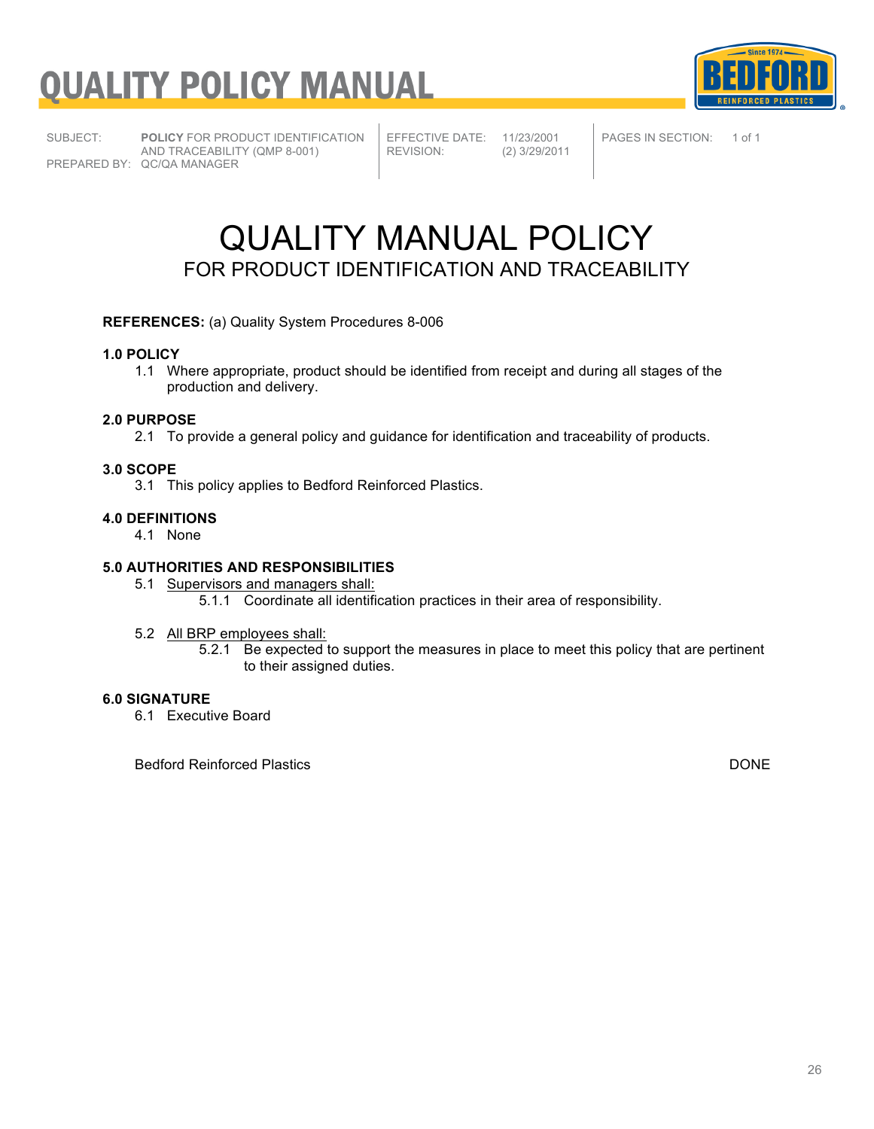

SUBJECT: **POLICY** FOR PRODUCT IDENTIFICATION AND TRACEABILITY (QMP 8-001) PREPARED BY: QC/QA MANAGER

EFFECTIVE DATE: 11/23/2001<br>REVISION: (2) 3/29/201

REVISION: (2) 3/29/2011

PAGES IN SECTION: 1 of 1

### QUALITY MANUAL POLICY FOR PRODUCT IDENTIFICATION AND TRACEABILITY

#### **REFERENCES:** (a) Quality System Procedures 8-006

#### **1.0 POLICY**

1.1 Where appropriate, product should be identified from receipt and during all stages of the production and delivery.

#### **2.0 PURPOSE**

2.1 To provide a general policy and guidance for identification and traceability of products.

#### **3.0 SCOPE**

3.1 This policy applies to Bedford Reinforced Plastics.

#### **4.0 DEFINITIONS**

4.1 None

#### **5.0 AUTHORITIES AND RESPONSIBILITIES**

5.1 Supervisors and managers shall: 5.1.1 Coordinate all identification practices in their area of responsibility.

#### 5.2 All BRP employees shall:

5.2.1 Be expected to support the measures in place to meet this policy that are pertinent to their assigned duties.

#### **6.0 SIGNATURE**

6.1 Executive Board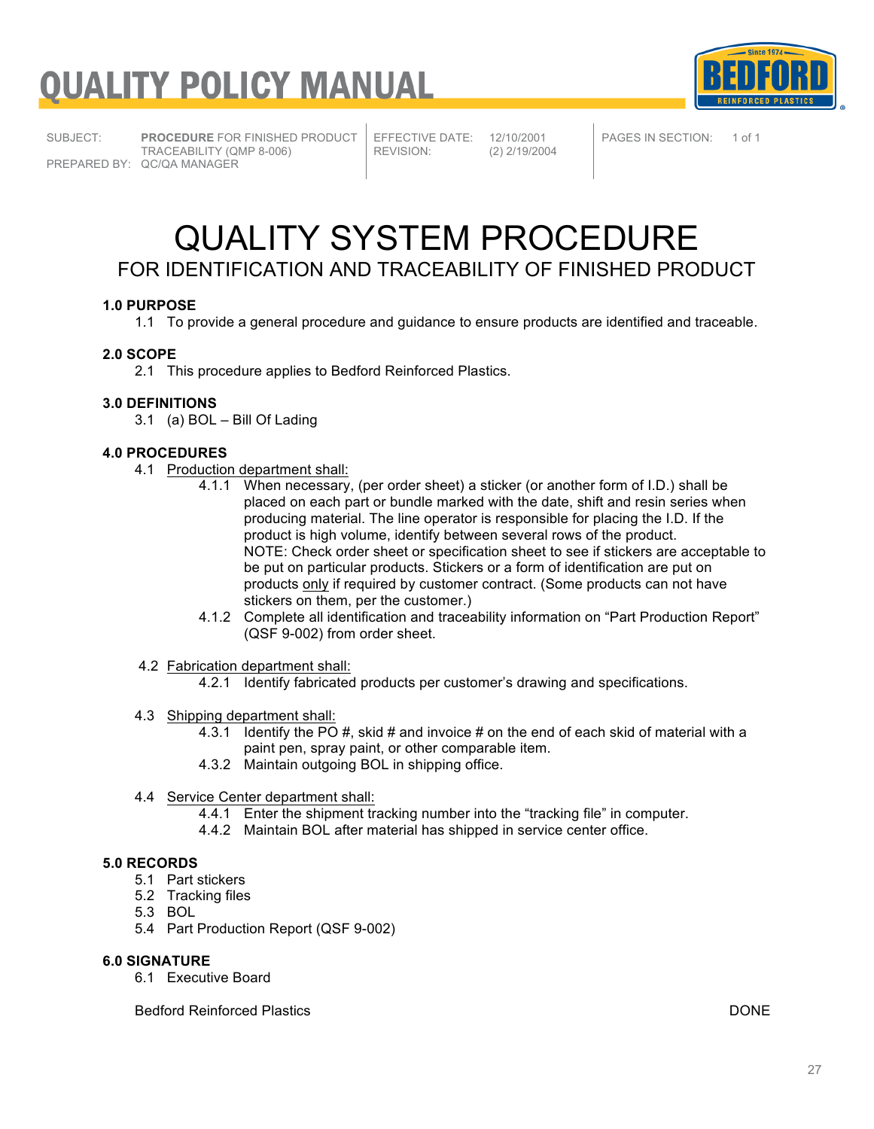

SUBJECT: **PROCEDURE** FOR FINISHED PRODUCT TRACEABILITY (QMP 8-006) PREPARED BY: QC/QA MANAGER

EFFECTIVE DATE: 12/10/2001<br>REVISION: (2) 2/19/200

REVISION: (2) 2/19/2004

PAGES IN SECTION: 1 of 1

### QUALITY SYSTEM PROCEDURE FOR IDENTIFICATION AND TRACEABILITY OF FINISHED PRODUCT

#### **1.0 PURPOSE**

1.1 To provide a general procedure and guidance to ensure products are identified and traceable.

#### **2.0 SCOPE**

2.1 This procedure applies to Bedford Reinforced Plastics.

#### **3.0 DEFINITIONS**

3.1 (a) BOL – Bill Of Lading

#### **4.0 PROCEDURES**

- 4.1 Production department shall:
	- 4.1.1 When necessary, (per order sheet) a sticker (or another form of I.D.) shall be placed on each part or bundle marked with the date, shift and resin series when producing material. The line operator is responsible for placing the I.D. If the product is high volume, identify between several rows of the product. NOTE: Check order sheet or specification sheet to see if stickers are acceptable to be put on particular products. Stickers or a form of identification are put on products only if required by customer contract. (Some products can not have stickers on them, per the customer.)
	- 4.1.2 Complete all identification and traceability information on "Part Production Report" (QSF 9-002) from order sheet.
- 4.2 Fabrication department shall:
	- 4.2.1 Identify fabricated products per customer's drawing and specifications.
- 4.3 Shipping department shall:
	- 4.3.1 Identify the PO #, skid # and invoice # on the end of each skid of material with a paint pen, spray paint, or other comparable item.
	- 4.3.2 Maintain outgoing BOL in shipping office.
- 4.4 Service Center department shall:
	- 4.4.1 Enter the shipment tracking number into the "tracking file" in computer.
	- 4.4.2 Maintain BOL after material has shipped in service center office.

#### **5.0 RECORDS**

- 5.1 Part stickers
- 5.2 Tracking files
- 5.3 BOL
- 5.4 Part Production Report (QSF 9-002)

#### **6.0 SIGNATURE**

6.1 Executive Board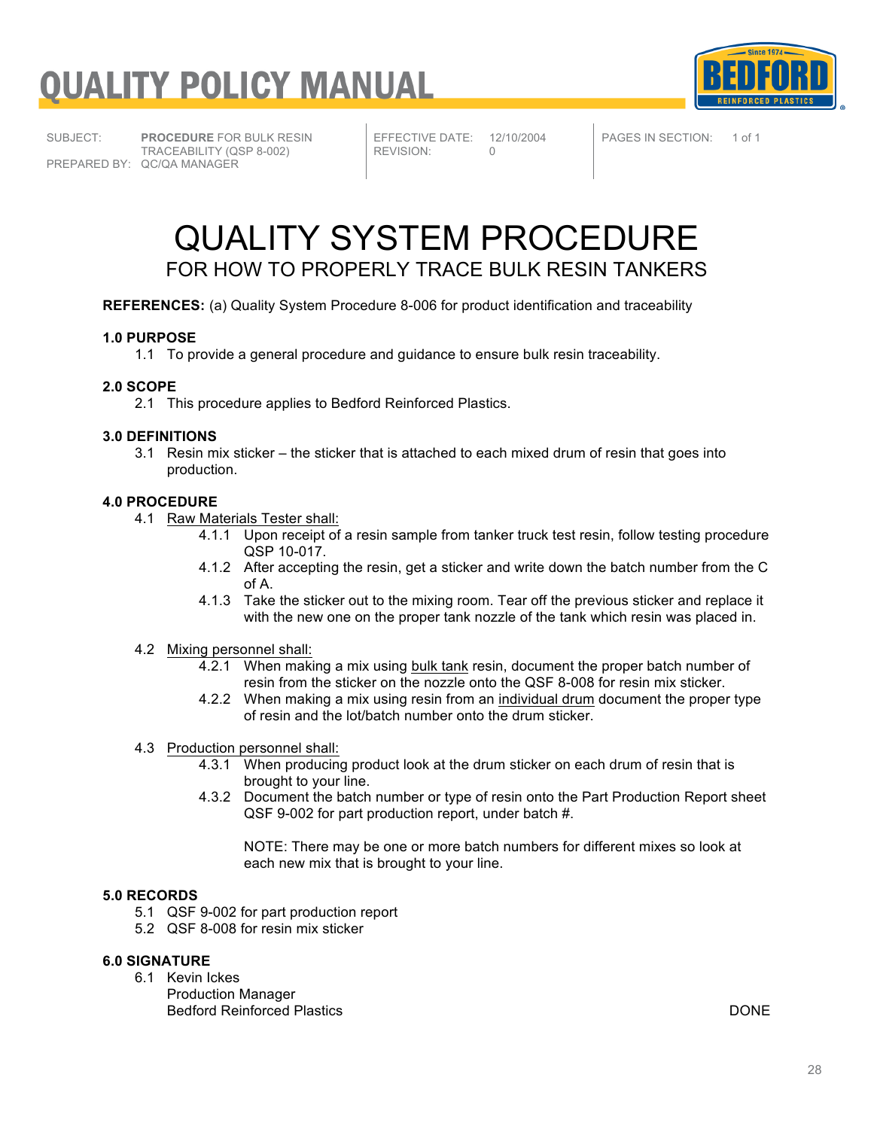



SUBJECT: **PROCEDURE** FOR BULK RESIN TRACEABILITY (QSP 8-002) PREPARED BY: QC/QA MANAGER

EFFECTIVE DATE: 12/10/2004<br>REVISION: 0 REVISION:

PAGES IN SECTION: 1 of 1

### QUALITY SYSTEM PROCEDURE FOR HOW TO PROPERLY TRACE BULK RESIN TANKERS

**REFERENCES:** (a) Quality System Procedure 8-006 for product identification and traceability

#### **1.0 PURPOSE**

1.1 To provide a general procedure and guidance to ensure bulk resin traceability.

#### **2.0 SCOPE**

2.1 This procedure applies to Bedford Reinforced Plastics.

#### **3.0 DEFINITIONS**

3.1 Resin mix sticker – the sticker that is attached to each mixed drum of resin that goes into production.

#### **4.0 PROCEDURE**

- 4.1 Raw Materials Tester shall:
	- 4.1.1 Upon receipt of a resin sample from tanker truck test resin, follow testing procedure QSP 10-017.
	- 4.1.2 After accepting the resin, get a sticker and write down the batch number from the C of A.
	- 4.1.3 Take the sticker out to the mixing room. Tear off the previous sticker and replace it with the new one on the proper tank nozzle of the tank which resin was placed in.

#### 4.2 Mixing personnel shall:

- 4.2.1 When making a mix using bulk tank resin, document the proper batch number of resin from the sticker on the nozzle onto the QSF 8-008 for resin mix sticker.
- 4.2.2 When making a mix using resin from an individual drum document the proper type of resin and the lot/batch number onto the drum sticker.

#### 4.3 Production personnel shall:

- 4.3.1 When producing product look at the drum sticker on each drum of resin that is brought to your line.
- 4.3.2 Document the batch number or type of resin onto the Part Production Report sheet QSF 9-002 for part production report, under batch #.

NOTE: There may be one or more batch numbers for different mixes so look at each new mix that is brought to your line.

#### **5.0 RECORDS**

- 5.1 QSF 9-002 for part production report
- 5.2 QSF 8-008 for resin mix sticker

#### **6.0 SIGNATURE**

- 6.1 Kevin Ickes
	- Production Manager Bedford Reinforced Plastics DONE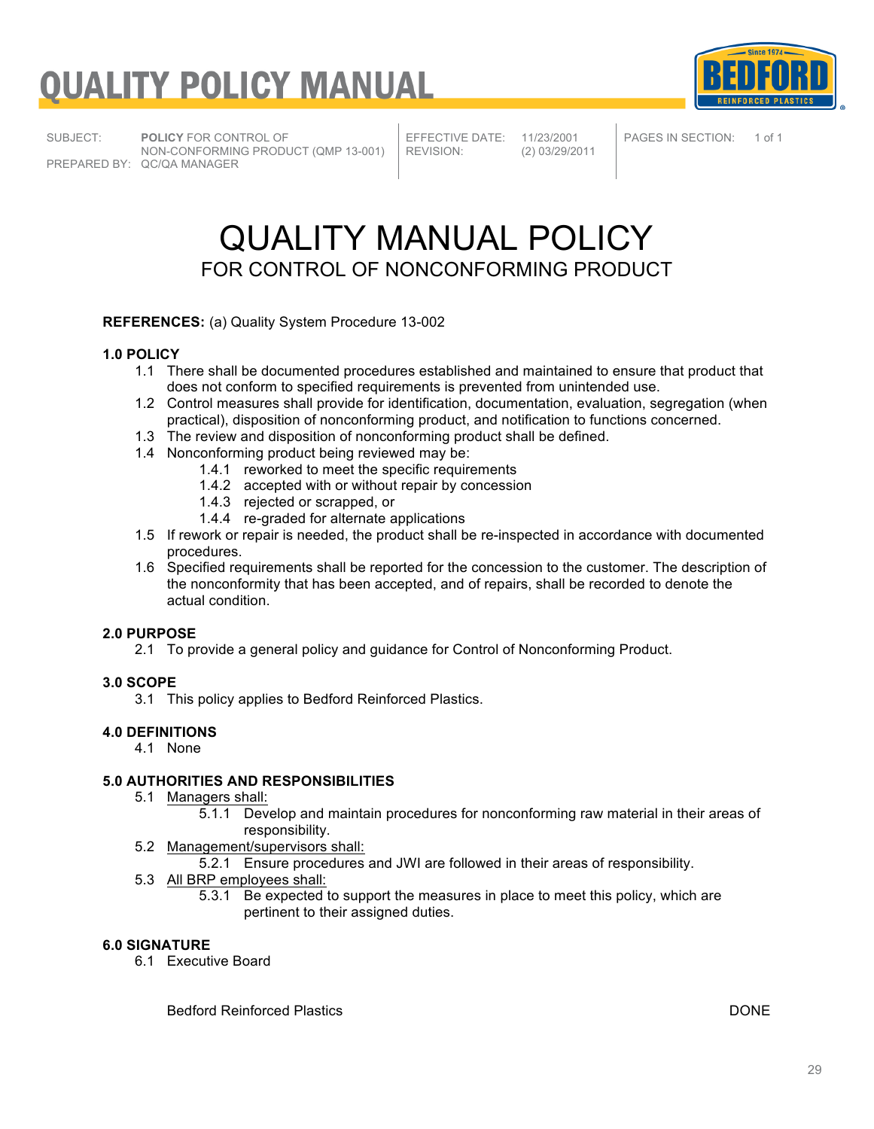

SUBJECT: **POLICY** FOR CONTROL OF NON-CONFORMING PRODUCT (QMP 13-001) PREPARED BY: QC/QA MANAGER

EFFECTIVE DATE: 11/23/2001<br>REVISION: (2) 03/29/20

REVISION: (2) 03/29/2011

PAGES IN SECTION: 1 of 1

### QUALITY MANUAL POLICY FOR CONTROL OF NONCONFORMING PRODUCT

**REFERENCES:** (a) Quality System Procedure 13-002

#### **1.0 POLICY**

- 1.1 There shall be documented procedures established and maintained to ensure that product that does not conform to specified requirements is prevented from unintended use.
- 1.2 Control measures shall provide for identification, documentation, evaluation, segregation (when practical), disposition of nonconforming product, and notification to functions concerned.
- 1.3 The review and disposition of nonconforming product shall be defined.
- 1.4 Nonconforming product being reviewed may be:
	- 1.4.1 reworked to meet the specific requirements
	- 1.4.2 accepted with or without repair by concession
	- 1.4.3 rejected or scrapped, or
	- 1.4.4 re-graded for alternate applications
- 1.5 If rework or repair is needed, the product shall be re-inspected in accordance with documented procedures.
- 1.6 Specified requirements shall be reported for the concession to the customer. The description of the nonconformity that has been accepted, and of repairs, shall be recorded to denote the actual condition.

#### **2.0 PURPOSE**

2.1 To provide a general policy and guidance for Control of Nonconforming Product.

#### **3.0 SCOPE**

3.1 This policy applies to Bedford Reinforced Plastics.

#### **4.0 DEFINITIONS**

4.1 None

#### **5.0 AUTHORITIES AND RESPONSIBILITIES**

- 5.1 Managers shall:
	- 5.1.1 Develop and maintain procedures for nonconforming raw material in their areas of responsibility.
- 5.2 Management/supervisors shall:
	- 5.2.1 Ensure procedures and JWI are followed in their areas of responsibility.
- 5.3 All BRP employees shall:
	- 5.3.1 Be expected to support the measures in place to meet this policy, which are pertinent to their assigned duties.

#### **6.0 SIGNATURE**

6.1 Executive Board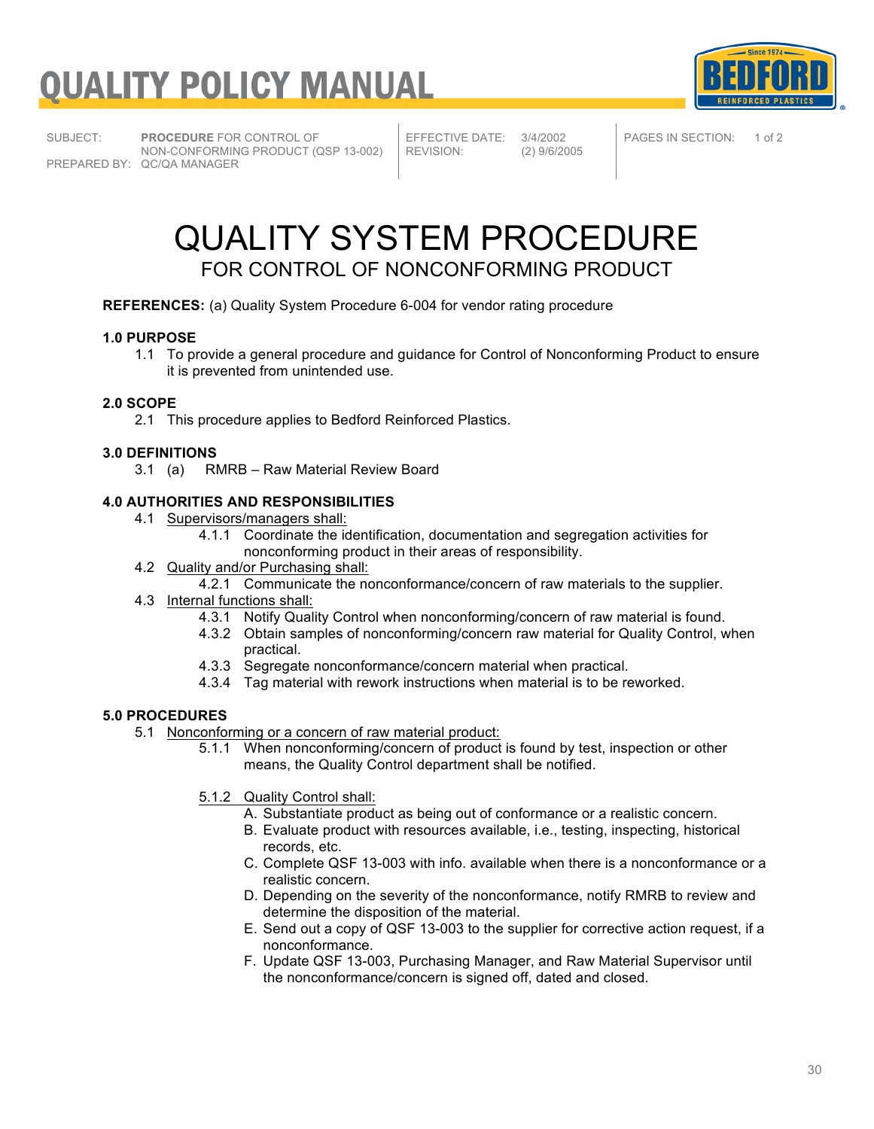

SUBJECT: **PROCEDURE** FOR CONTROL OF NON-CONFORMING PRODUCT (QSP 13-002) PREPARED BY: QC/QA MANAGER

EFFECTIVE DATE: 3/4/2002<br>REVISION: (2) 9/6/20

REVISION: (2) 9/6/2005

PAGES IN SECTION: 1 of 2

### QUALITY SYSTEM PROCEDURE FOR CONTROL OF NONCONFORMING PRODUCT

**REFERENCES:** (a) Quality System Procedure 6-004 for vendor rating procedure

#### **1.0 PURPOSE**

1.1 To provide a general procedure and guidance for Control of Nonconforming Product to ensure it is prevented from unintended use.

#### **2.0 SCOPE**

2.1 This procedure applies to Bedford Reinforced Plastics.

#### **3.0 DEFINITIONS**

3.1 (a) RMRB – Raw Material Review Board

#### **4.0 AUTHORITIES AND RESPONSIBILITIES**

- 4.1 Supervisors/managers shall:
	- 4.1.1 Coordinate the identification, documentation and segregation activities for nonconforming product in their areas of responsibility.
- 4.2 Quality and/or Purchasing shall:
	- 4.2.1 Communicate the nonconformance/concern of raw materials to the supplier.
- 4.3 Internal functions shall:
	- 4.3.1 Notify Quality Control when nonconforming/concern of raw material is found.
	- 4.3.2 Obtain samples of nonconforming/concern raw material for Quality Control, when practical.
	- 4.3.3 Segregate nonconformance/concern material when practical.
	- 4.3.4 Tag material with rework instructions when material is to be reworked.

#### **5.0 PROCEDURES**

- 5.1 Nonconforming or a concern of raw material product:
	- 5.1.1 When nonconforming/concern of product is found by test, inspection or other means, the Quality Control department shall be notified.
	- 5.1.2 Quality Control shall:
		- A. Substantiate product as being out of conformance or a realistic concern.
		- B. Evaluate product with resources available, i.e., testing, inspecting, historical records, etc.
		- C. Complete QSF 13-003 with info. available when there is a nonconformance or a realistic concern.
		- D. Depending on the severity of the nonconformance, notify RMRB to review and determine the disposition of the material.
		- E. Send out a copy of QSF 13-003 to the supplier for corrective action request, if a nonconformance.
		- F. Update QSF 13-003, Purchasing Manager, and Raw Material Supervisor until the nonconformance/concern is signed off, dated and closed.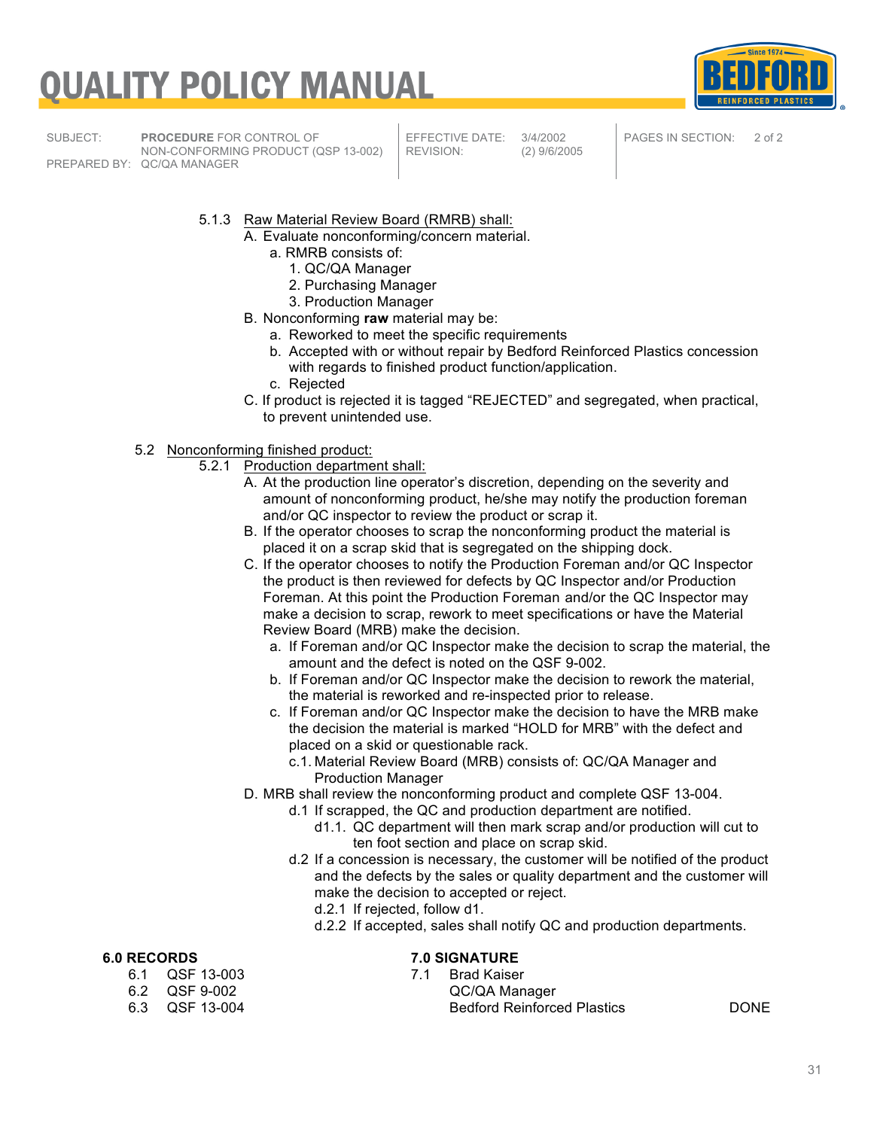

SUBJECT: **PROCEDURE** FOR CONTROL OF NON-CONFORMING PRODUCT (QSP 13-002) PREPARED BY: QC/QA MANAGER

EFFECTIVE DATE: 3/4/2002<br>REVISION: (2) 9/6/20

REVISION: (2) 9/6/2005

PAGES IN SECTION: 2 of 2

- 5.1.3 Raw Material Review Board (RMRB) shall:
	- A. Evaluate nonconforming/concern material.
		- a. RMRB consists of:
			- 1. QC/QA Manager
			- 2. Purchasing Manager
			- 3. Production Manager
	- B. Nonconforming **raw** material may be:
		- a. Reworked to meet the specific requirements
		- b. Accepted with or without repair by Bedford Reinforced Plastics concession with regards to finished product function/application.
		- c. Rejected
	- C. If product is rejected it is tagged "REJECTED" and segregated, when practical, to prevent unintended use.
- 5.2 Nonconforming finished product:
	- 5.2.1 Production department shall:
		- A. At the production line operator's discretion, depending on the severity and amount of nonconforming product, he/she may notify the production foreman and/or QC inspector to review the product or scrap it.
		- B. If the operator chooses to scrap the nonconforming product the material is placed it on a scrap skid that is segregated on the shipping dock.
		- C. If the operator chooses to notify the Production Foreman and/or QC Inspector the product is then reviewed for defects by QC Inspector and/or Production Foreman. At this point the Production Foreman and/or the QC Inspector may make a decision to scrap, rework to meet specifications or have the Material Review Board (MRB) make the decision.
			- a. If Foreman and/or QC Inspector make the decision to scrap the material, the amount and the defect is noted on the QSF 9-002.
			- b. If Foreman and/or QC Inspector make the decision to rework the material, the material is reworked and re-inspected prior to release.
			- c. If Foreman and/or QC Inspector make the decision to have the MRB make the decision the material is marked "HOLD for MRB" with the defect and placed on a skid or questionable rack.
				- c.1. Material Review Board (MRB) consists of: QC/QA Manager and Production Manager
		- D. MRB shall review the nonconforming product and complete QSF 13-004.
			- d.1 If scrapped, the QC and production department are notified.
				- d1.1. QC department will then mark scrap and/or production will cut to ten foot section and place on scrap skid.
				- d.2 If a concession is necessary, the customer will be notified of the product and the defects by the sales or quality department and the customer will make the decision to accepted or reject.
					- d.2.1 If rejected, follow d1.
					- d.2.2 If accepted, sales shall notify QC and production departments.

- 6.1 QSF 13-003
- 
- 
- **6.0 RECORDS 7.0 SIGNATURE**
	- 6.2 QSF 9-002 QC/QA Manager Bedford Reinforced Plastics **DONE**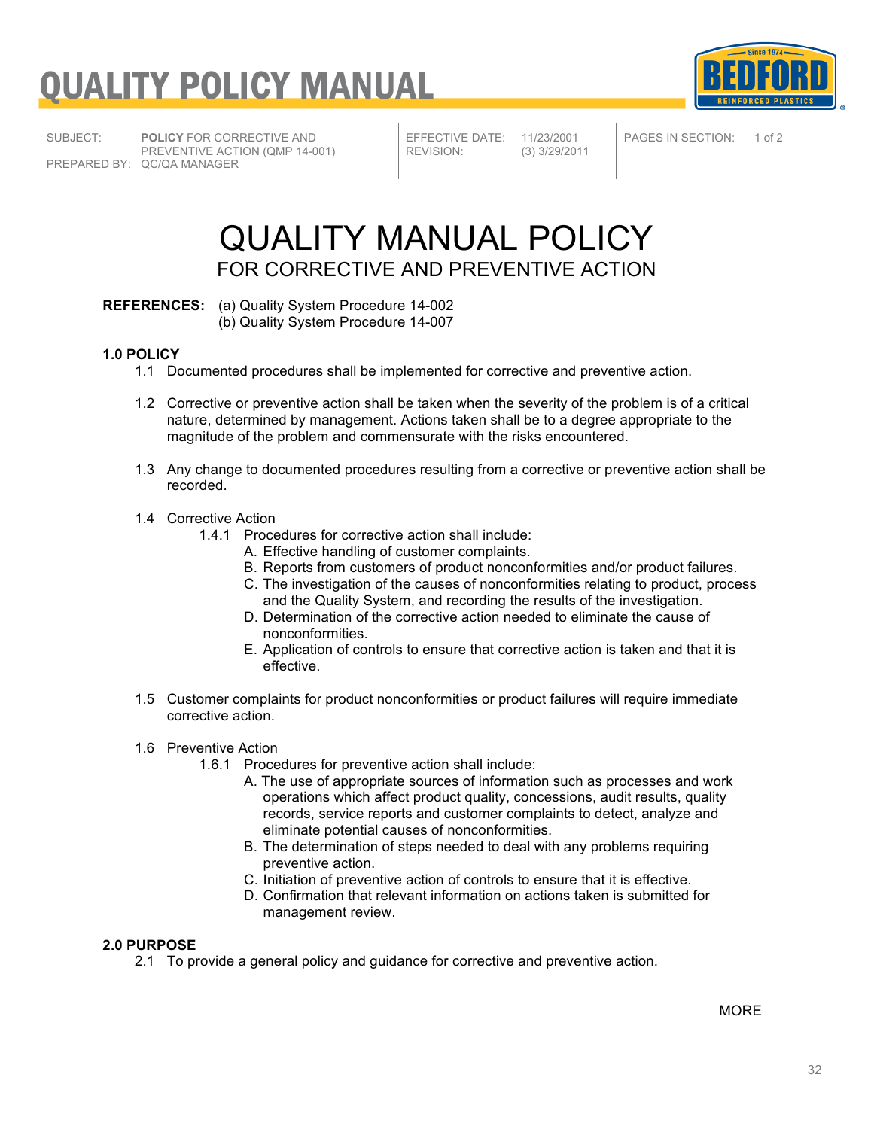

SUBJECT: **POLICY** FOR CORRECTIVE AND PREVENTIVE ACTION (QMP 14-001) PREPARED BY: QC/QA MANAGER

EFFECTIVE DATE: 11/23/2001<br>REVISION: (3) 3/29/201

REVISION: (3) 3/29/2011

PAGES IN SECTION: 1 of 2

### QUALITY MANUAL POLICY FOR CORRECTIVE AND PREVENTIVE ACTION

**REFERENCES:** (a) Quality System Procedure 14-002 (b) Quality System Procedure 14-007

#### **1.0 POLICY**

- 1.1 Documented procedures shall be implemented for corrective and preventive action.
- 1.2 Corrective or preventive action shall be taken when the severity of the problem is of a critical nature, determined by management. Actions taken shall be to a degree appropriate to the magnitude of the problem and commensurate with the risks encountered.
- 1.3 Any change to documented procedures resulting from a corrective or preventive action shall be recorded.

#### 1.4 Corrective Action

- 1.4.1 Procedures for corrective action shall include:
	- A. Effective handling of customer complaints.
	- B. Reports from customers of product nonconformities and/or product failures.
	- C. The investigation of the causes of nonconformities relating to product, process and the Quality System, and recording the results of the investigation.
	- D. Determination of the corrective action needed to eliminate the cause of nonconformities.
	- E. Application of controls to ensure that corrective action is taken and that it is effective.
- 1.5 Customer complaints for product nonconformities or product failures will require immediate corrective action.

#### 1.6 Preventive Action

- 1.6.1 Procedures for preventive action shall include:
	- A. The use of appropriate sources of information such as processes and work operations which affect product quality, concessions, audit results, quality records, service reports and customer complaints to detect, analyze and eliminate potential causes of nonconformities.
	- B. The determination of steps needed to deal with any problems requiring preventive action.
	- C. Initiation of preventive action of controls to ensure that it is effective.
	- D. Confirmation that relevant information on actions taken is submitted for management review.

#### **2.0 PURPOSE**

2.1 To provide a general policy and guidance for corrective and preventive action.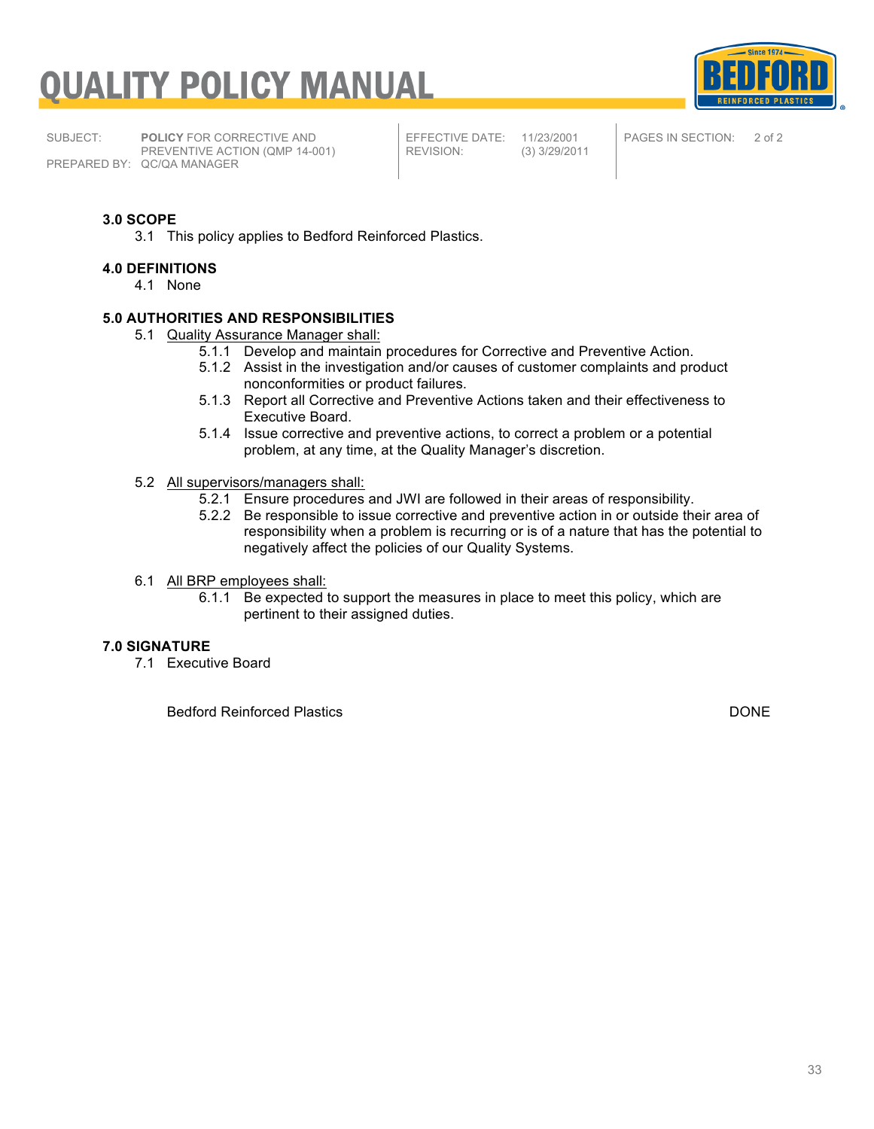

SUBJECT: **POLICY** FOR CORRECTIVE AND PREVENTIVE ACTION (QMP 14-001) PREPARED BY: QC/QA MANAGER

EFFECTIVE DATE: 11/23/2001<br>REVISION: (3) 3/29/201

REVISION: (3) 3/29/2011

PAGES IN SECTION: 2 of 2

#### **3.0 SCOPE**

3.1 This policy applies to Bedford Reinforced Plastics.

#### **4.0 DEFINITIONS**

4.1 None

#### **5.0 AUTHORITIES AND RESPONSIBILITIES**

- 5.1 Quality Assurance Manager shall:
	- 5.1.1 Develop and maintain procedures for Corrective and Preventive Action.
	- 5.1.2 Assist in the investigation and/or causes of customer complaints and product nonconformities or product failures.
	- 5.1.3 Report all Corrective and Preventive Actions taken and their effectiveness to Executive Board.
	- 5.1.4 Issue corrective and preventive actions, to correct a problem or a potential problem, at any time, at the Quality Manager's discretion.
- 5.2 All supervisors/managers shall:
	- 5.2.1 Ensure procedures and JWI are followed in their areas of responsibility.
	- 5.2.2 Be responsible to issue corrective and preventive action in or outside their area of responsibility when a problem is recurring or is of a nature that has the potential to negatively affect the policies of our Quality Systems.

#### 6.1 All BRP employees shall:

6.1.1 Be expected to support the measures in place to meet this policy, which are pertinent to their assigned duties.

#### **7.0 SIGNATURE**

7.1 Executive Board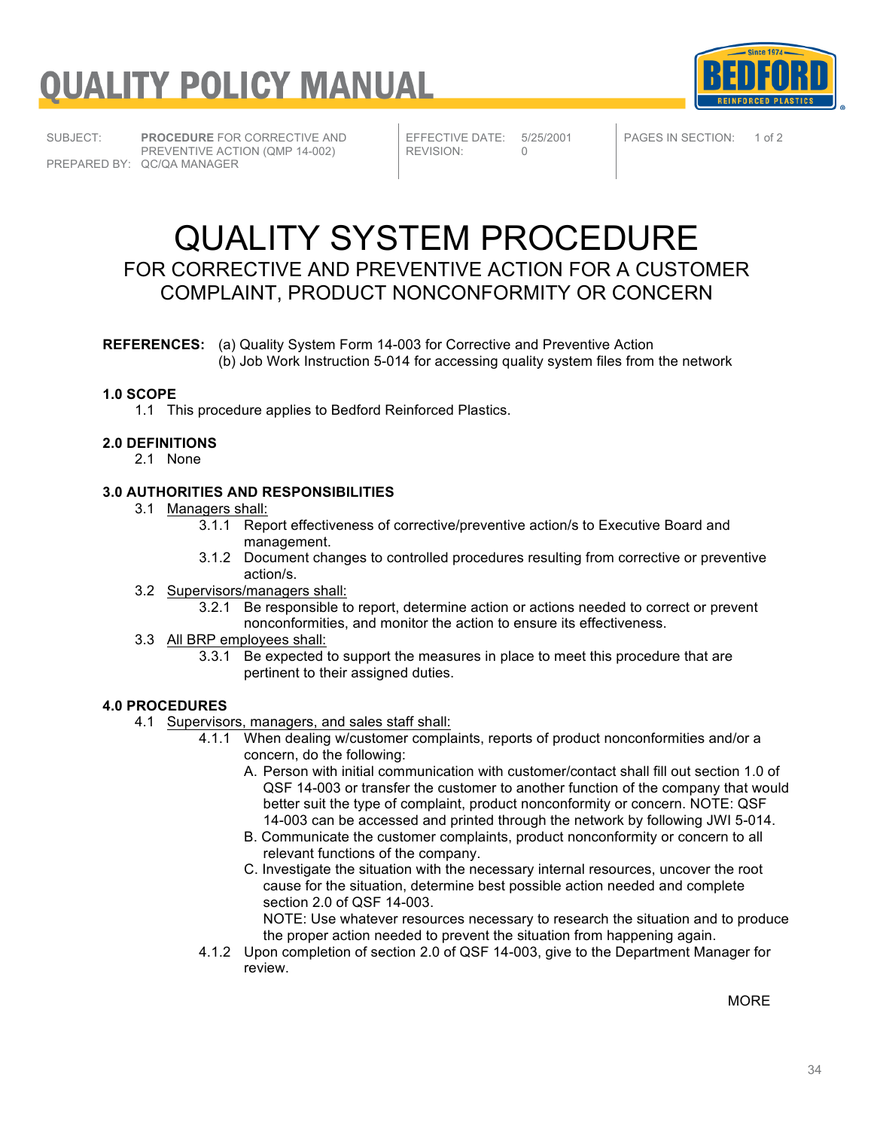**Since 1974** 

SUBJECT: **PROCEDURE** FOR CORRECTIVE AND PREVENTIVE ACTION (QMP 14-002) PREPARED BY: QC/QA MANAGER

EFFECTIVE DATE: 5/25/2001<br>REVISION: 0 REVISION:

PAGES IN SECTION: 1 of 2

### QUALITY SYSTEM PROCEDURE FOR CORRECTIVE AND PREVENTIVE ACTION FOR A CUSTOMER COMPLAINT, PRODUCT NONCONFORMITY OR CONCERN

**REFERENCES:** (a) Quality System Form 14-003 for Corrective and Preventive Action (b) Job Work Instruction 5-014 for accessing quality system files from the network

#### **1.0 SCOPE**

1.1 This procedure applies to Bedford Reinforced Plastics.

#### **2.0 DEFINITIONS**

2.1 None

#### **3.0 AUTHORITIES AND RESPONSIBILITIES**

- 3.1 Managers shall:
	- 3.1.1 Report effectiveness of corrective/preventive action/s to Executive Board and management.
	- 3.1.2 Document changes to controlled procedures resulting from corrective or preventive action/s.
- 3.2 Supervisors/managers shall:
	- 3.2.1 Be responsible to report, determine action or actions needed to correct or prevent nonconformities, and monitor the action to ensure its effectiveness.
- 3.3 All BRP employees shall:
	- 3.3.1 Be expected to support the measures in place to meet this procedure that are pertinent to their assigned duties.

#### **4.0 PROCEDURES**

- 4.1 Supervisors, managers, and sales staff shall:
	- 4.1.1 When dealing w/customer complaints, reports of product nonconformities and/or a concern, do the following:
		- A. Person with initial communication with customer/contact shall fill out section 1.0 of QSF 14-003 or transfer the customer to another function of the company that would better suit the type of complaint, product nonconformity or concern. NOTE: QSF 14-003 can be accessed and printed through the network by following JWI 5-014.
		- B. Communicate the customer complaints, product nonconformity or concern to all relevant functions of the company.
		- C. Investigate the situation with the necessary internal resources, uncover the root cause for the situation, determine best possible action needed and complete section 2.0 of QSF 14-003.

NOTE: Use whatever resources necessary to research the situation and to produce the proper action needed to prevent the situation from happening again.

4.1.2 Upon completion of section 2.0 of QSF 14-003, give to the Department Manager for review.

MORE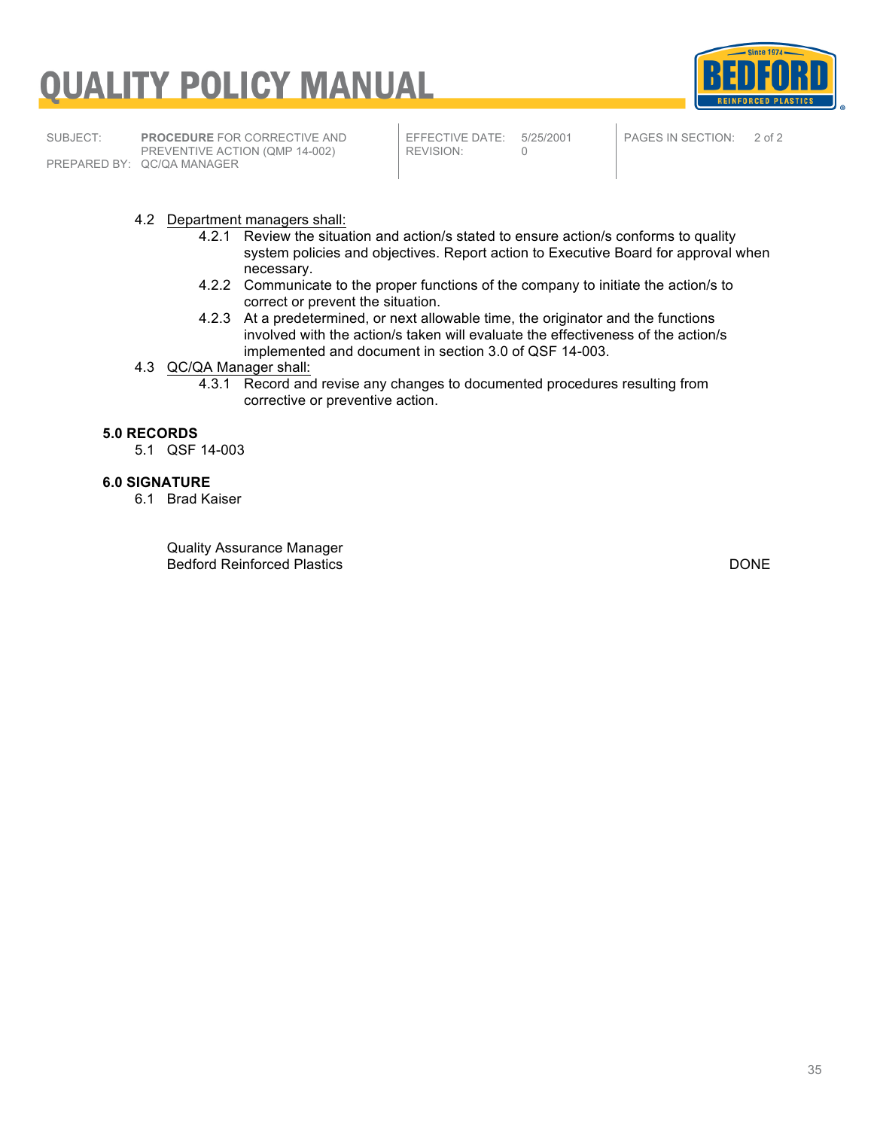

SUBJECT: **PROCEDURE** FOR CORRECTIVE AND PREVENTIVE ACTION (QMP 14-002) PREPARED BY: QC/QA MANAGER

EFFECTIVE DATE: 5/25/2001<br>REVISION: 0 REVISION:

PAGES IN SECTION: 2 of 2

#### 4.2 Department managers shall:

- 4.2.1 Review the situation and action/s stated to ensure action/s conforms to quality system policies and objectives. Report action to Executive Board for approval when necessary.
- 4.2.2 Communicate to the proper functions of the company to initiate the action/s to correct or prevent the situation.
- 4.2.3 At a predetermined, or next allowable time, the originator and the functions involved with the action/s taken will evaluate the effectiveness of the action/s implemented and document in section 3.0 of QSF 14-003.
- 4.3 QC/QA Manager shall:
	- 4.3.1 Record and revise any changes to documented procedures resulting from corrective or preventive action.

#### **5.0 RECORDS**

5.1 QSF 14-003

#### **6.0 SIGNATURE**

6.1 Brad Kaiser

Quality Assurance Manager Bedford Reinforced Plastics DONE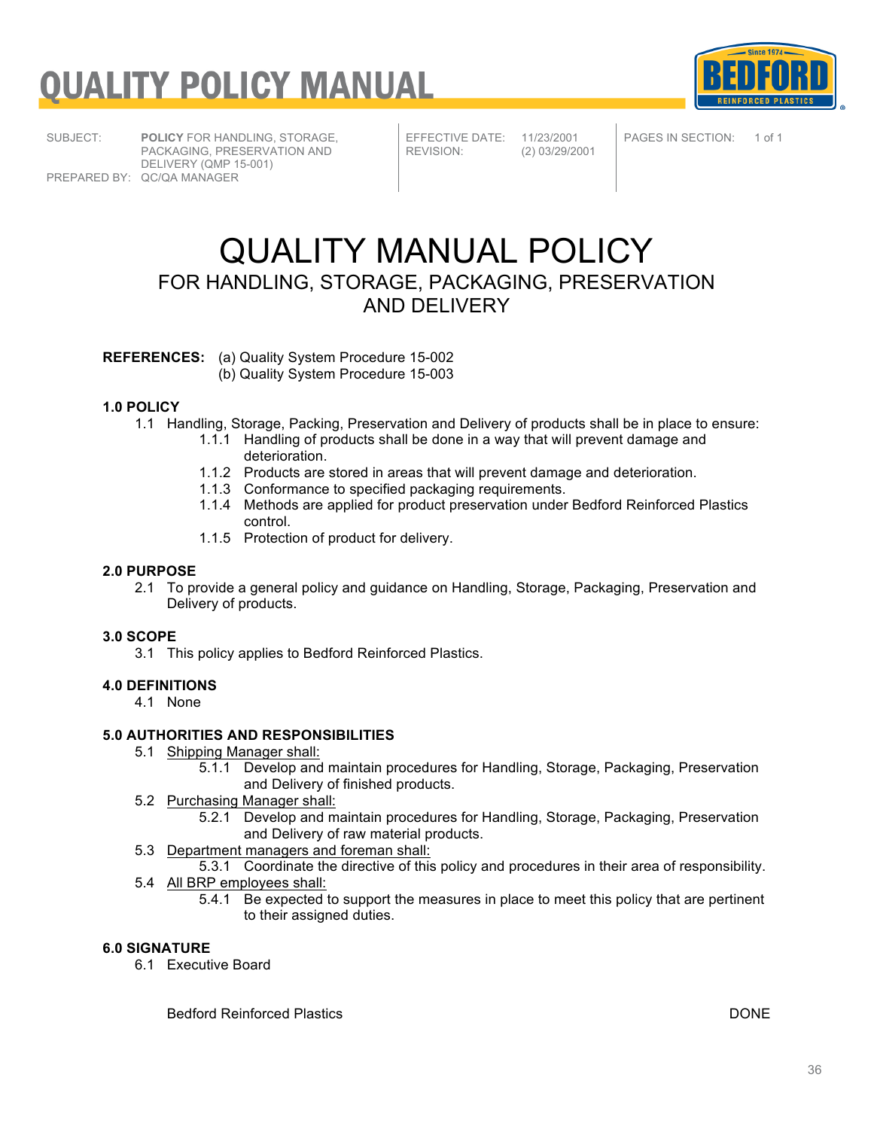

SUBJECT: **POLICY** FOR HANDLING, STORAGE, PACKAGING, PRESERVATION AND DELIVERY (QMP 15-001) PREPARED BY: QC/QA MANAGER

EFFECTIVE DATE: 11/23/2001<br>REVISION: (2) 03/29/20

REVISION: (2) 03/29/2001

PAGES IN SECTION: 1 of 1

### QUALITY MANUAL POLICY FOR HANDLING, STORAGE, PACKAGING, PRESERVATION AND DELIVERY

**REFERENCES:** (a) Quality System Procedure 15-002

(b) Quality System Procedure 15-003

#### **1.0 POLICY**

- 1.1 Handling, Storage, Packing, Preservation and Delivery of products shall be in place to ensure:
	- 1.1.1 Handling of products shall be done in a way that will prevent damage and deterioration.
	- 1.1.2 Products are stored in areas that will prevent damage and deterioration.
	- 1.1.3 Conformance to specified packaging requirements.
	- 1.1.4 Methods are applied for product preservation under Bedford Reinforced Plastics control.
	- 1.1.5 Protection of product for delivery.

#### **2.0 PURPOSE**

2.1 To provide a general policy and guidance on Handling, Storage, Packaging, Preservation and Delivery of products.

#### **3.0 SCOPE**

3.1 This policy applies to Bedford Reinforced Plastics.

#### **4.0 DEFINITIONS**

4.1 None

#### **5.0 AUTHORITIES AND RESPONSIBILITIES**

- 5.1 Shipping Manager shall:
	- 5.1.1 Develop and maintain procedures for Handling, Storage, Packaging, Preservation and Delivery of finished products.
- 5.2 Purchasing Manager shall:
	- 5.2.1 Develop and maintain procedures for Handling, Storage, Packaging, Preservation and Delivery of raw material products.
- 5.3 Department managers and foreman shall:
- 5.3.1 Coordinate the directive of this policy and procedures in their area of responsibility.
- 5.4 All BRP employees shall:
	- 5.4.1 Be expected to support the measures in place to meet this policy that are pertinent to their assigned duties.

#### **6.0 SIGNATURE**

6.1 Executive Board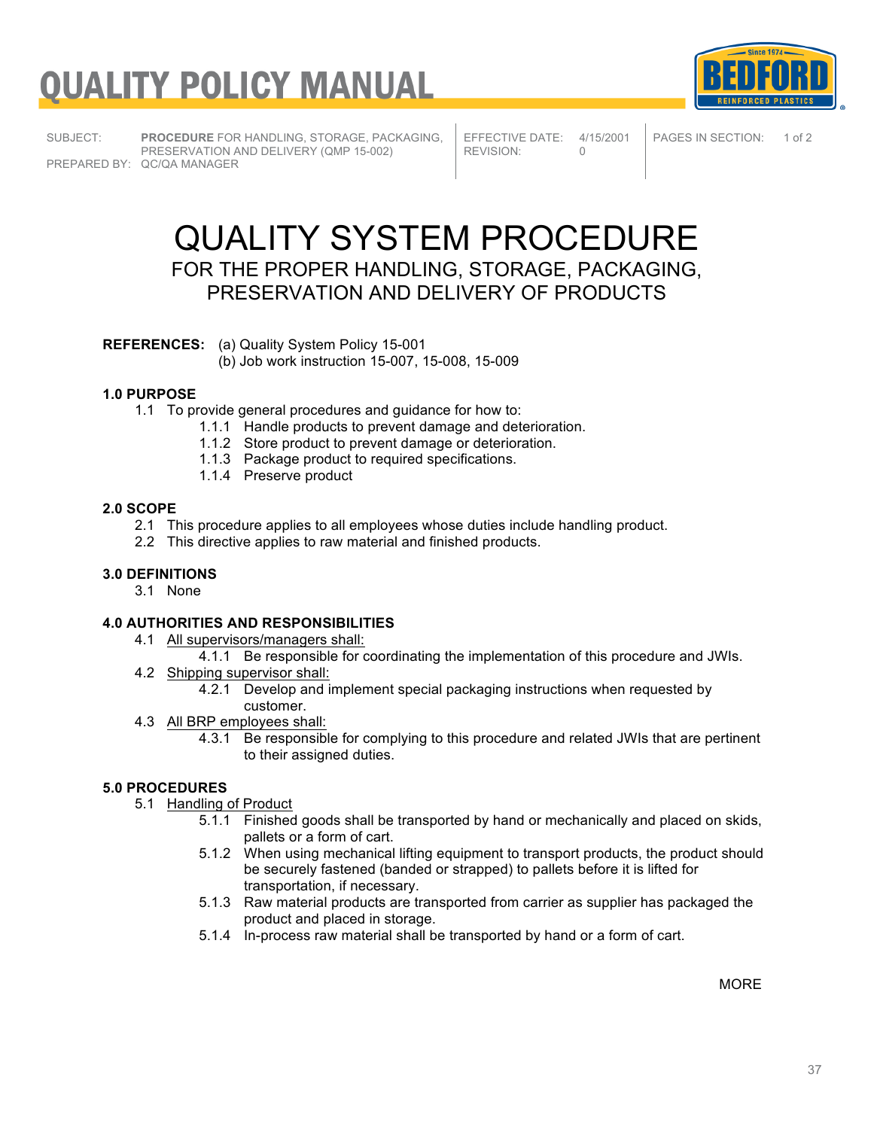



SUBJECT: **PROCEDURE** FOR HANDLING, STORAGE, PACKAGING, PRESERVATION AND DELIVERY (QMP 15-002) PREPARED BY: QC/QA MANAGER

EFFECTIVE DATE: 4/15/2001<br>REVISION: 0 REVISION:

PAGES IN SECTION: 1 of 2

### QUALITY SYSTEM PROCEDURE

FOR THE PROPER HANDLING, STORAGE, PACKAGING, PRESERVATION AND DELIVERY OF PRODUCTS

**REFERENCES:** (a) Quality System Policy 15-001

(b) Job work instruction 15-007, 15-008, 15-009

#### **1.0 PURPOSE**

- 1.1 To provide general procedures and guidance for how to:
	- 1.1.1 Handle products to prevent damage and deterioration.
	- 1.1.2 Store product to prevent damage or deterioration.
	- 1.1.3 Package product to required specifications.
	- 1.1.4 Preserve product

#### **2.0 SCOPE**

- 2.1 This procedure applies to all employees whose duties include handling product.
- 2.2 This directive applies to raw material and finished products.

#### **3.0 DEFINITIONS**

3.1 None

#### **4.0 AUTHORITIES AND RESPONSIBILITIES**

- 4.1 All supervisors/managers shall:
	- 4.1.1 Be responsible for coordinating the implementation of this procedure and JWIs.
- 4.2 Shipping supervisor shall:
	- 4.2.1 Develop and implement special packaging instructions when requested by customer.
- 4.3 All BRP employees shall:
	- 4.3.1 Be responsible for complying to this procedure and related JWIs that are pertinent to their assigned duties.

#### **5.0 PROCEDURES**

- 5.1 Handling of Product
	- 5.1.1 Finished goods shall be transported by hand or mechanically and placed on skids, pallets or a form of cart.
	- 5.1.2 When using mechanical lifting equipment to transport products, the product should be securely fastened (banded or strapped) to pallets before it is lifted for transportation, if necessary.
	- 5.1.3 Raw material products are transported from carrier as supplier has packaged the product and placed in storage.
	- 5.1.4 In-process raw material shall be transported by hand or a form of cart.

**MORF**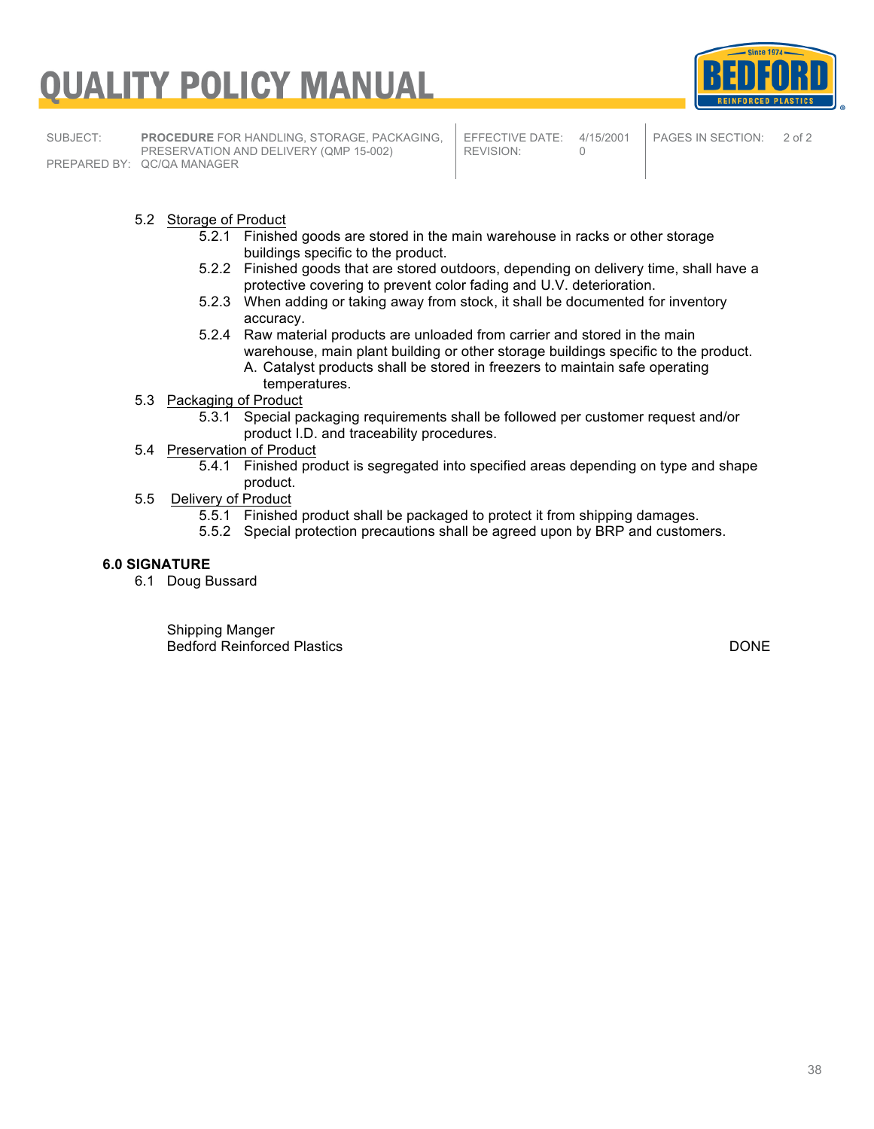# <u>UALITY POLICY MANUAL</u>



SUBJECT: **PROCEDURE** FOR HANDLING, STORAGE, PACKAGING, PRESERVATION AND DELIVERY (QMP 15-002) PREPARED BY: QC/QA MANAGER

EFFECTIVE DATE: 4/15/2001<br>REVISION: 0 REVISION:

PAGES IN SECTION: 2 of 2

#### 5.2 Storage of Product

- 5.2.1 Finished goods are stored in the main warehouse in racks or other storage buildings specific to the product.
- 5.2.2 Finished goods that are stored outdoors, depending on delivery time, shall have a protective covering to prevent color fading and U.V. deterioration.
- 5.2.3 When adding or taking away from stock, it shall be documented for inventory accuracy.
- 5.2.4 Raw material products are unloaded from carrier and stored in the main warehouse, main plant building or other storage buildings specific to the product. A. Catalyst products shall be stored in freezers to maintain safe operating temperatures.
- 5.3 Packaging of Product
	- 5.3.1 Special packaging requirements shall be followed per customer request and/or product I.D. and traceability procedures.
- 5.4 Preservation of Product
	- 5.4.1 Finished product is segregated into specified areas depending on type and shape product.
- 5.5 Delivery of Product
	- 5.5.1 Finished product shall be packaged to protect it from shipping damages.
	- 5.5.2 Special protection precautions shall be agreed upon by BRP and customers.

#### **6.0 SIGNATURE**

6.1 Doug Bussard

Shipping Manger Bedford Reinforced Plastics DONE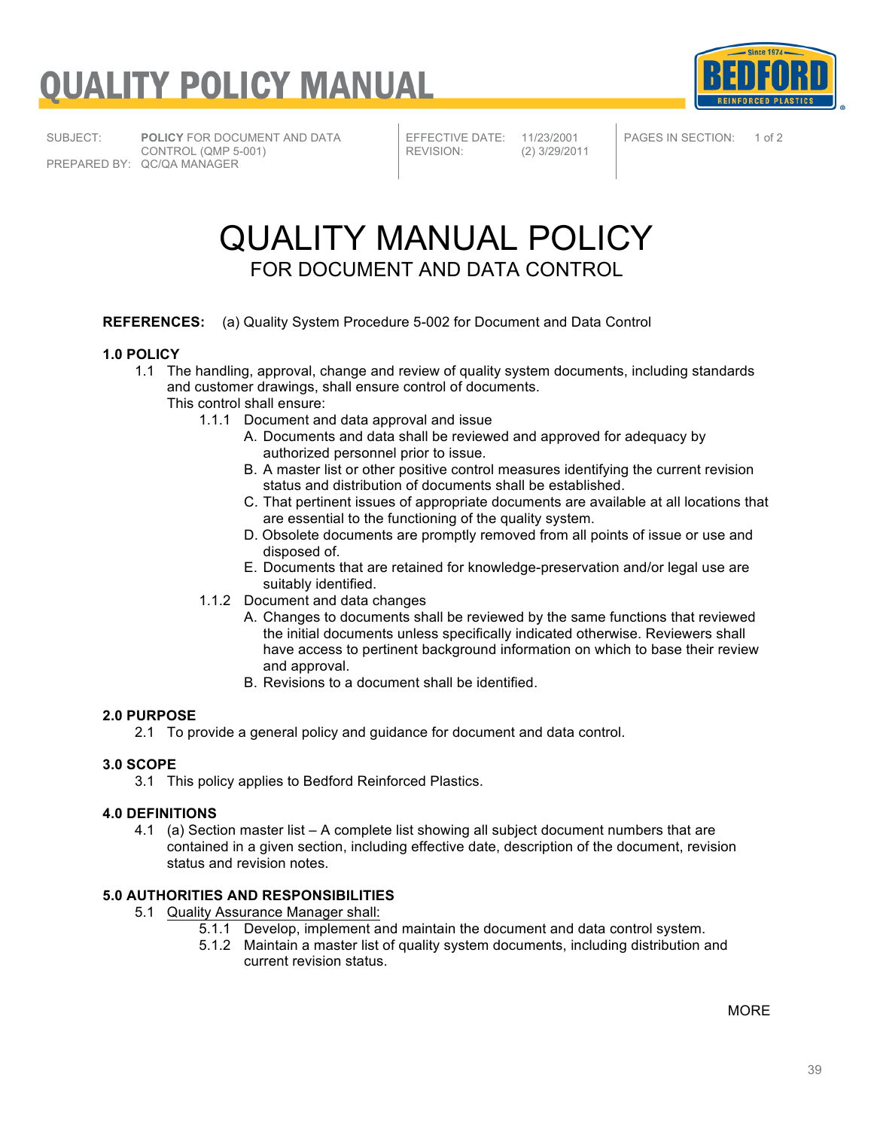

SUBJECT: **POLICY** FOR DOCUMENT AND DATA

CONTROL (QMP 5-001) PREPARED BY: QC/QA MANAGER

EFFECTIVE DATE: 11/23/2001<br>REVISION: (2) 3/29/201

REVISION: (2) 3/29/2011

PAGES IN SECTION: 1 of 2

### QUALITY MANUAL POLICY FOR DOCUMENT AND DATA CONTROL

#### **REFERENCES:** (a) Quality System Procedure 5-002 for Document and Data Control

#### **1.0 POLICY**

- 1.1 The handling, approval, change and review of quality system documents, including standards and customer drawings, shall ensure control of documents.
	- This control shall ensure:
		- 1.1.1 Document and data approval and issue
			- A. Documents and data shall be reviewed and approved for adequacy by authorized personnel prior to issue.
			- B. A master list or other positive control measures identifying the current revision status and distribution of documents shall be established.
			- C. That pertinent issues of appropriate documents are available at all locations that are essential to the functioning of the quality system.
			- D. Obsolete documents are promptly removed from all points of issue or use and disposed of.
			- E. Documents that are retained for knowledge-preservation and/or legal use are suitably identified.
		- 1.1.2 Document and data changes
			- A. Changes to documents shall be reviewed by the same functions that reviewed the initial documents unless specifically indicated otherwise. Reviewers shall have access to pertinent background information on which to base their review and approval.
			- B. Revisions to a document shall be identified.

#### **2.0 PURPOSE**

2.1 To provide a general policy and guidance for document and data control.

#### **3.0 SCOPE**

3.1 This policy applies to Bedford Reinforced Plastics.

#### **4.0 DEFINITIONS**

4.1 (a) Section master list – A complete list showing all subject document numbers that are contained in a given section, including effective date, description of the document, revision status and revision notes.

#### **5.0 AUTHORITIES AND RESPONSIBILITIES**

- 5.1 Quality Assurance Manager shall:
	- 5.1.1 Develop, implement and maintain the document and data control system.
		- 5.1.2 Maintain a master list of quality system documents, including distribution and current revision status.

MORE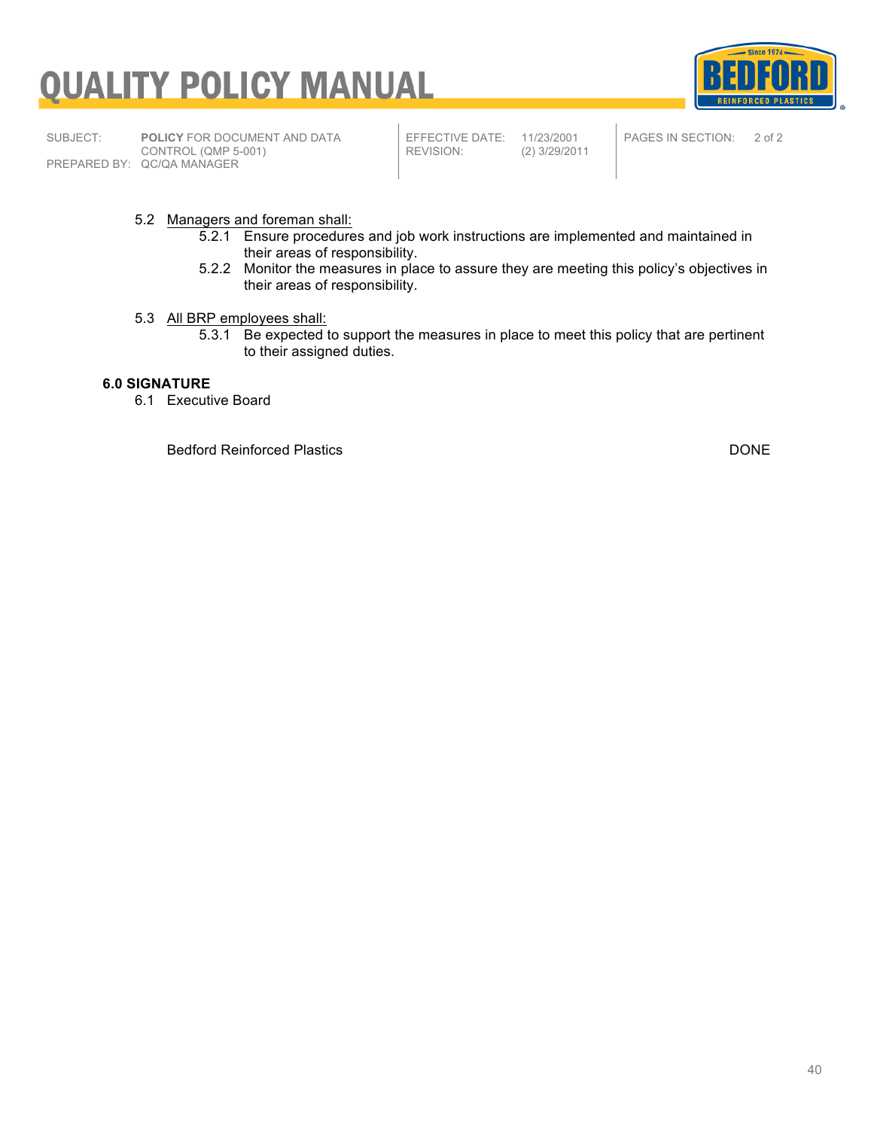

SUBJECT: **POLICY** FOR DOCUMENT AND DATA CONTROL (QMP 5-001) PREPARED BY: QC/QA MANAGER

EFFECTIVE DATE: 11/23/2001<br>REVISION: (2) 3/29/201

REVISION: (2) 3/29/2011



Since  $1974 -$ 

**REINFORCED PLASTICS** 

PAGES IN SECTION: 2 of 2

#### 5.2 Managers and foreman shall:

- 5.2.1 Ensure procedures and job work instructions are implemented and maintained in their areas of responsibility.
- 5.2.2 Monitor the measures in place to assure they are meeting this policy's objectives in their areas of responsibility.

#### 5.3 All BRP employees shall:

5.3.1 Be expected to support the measures in place to meet this policy that are pertinent to their assigned duties.

#### **6.0 SIGNATURE**

6.1 Executive Board